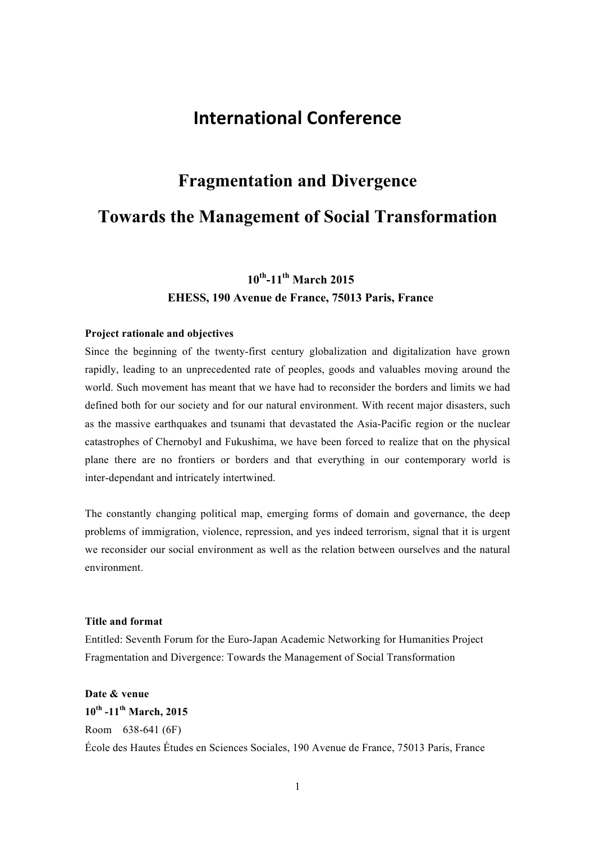## **International Conference**

# **Fragmentation and Divergence Towards the Management of Social Transformation**

## **10th-11th March 2015 EHESS, 190 Avenue de France, 75013 Paris, France**

#### **Project rationale and objectives**

Since the beginning of the twenty-first century globalization and digitalization have grown rapidly, leading to an unprecedented rate of peoples, goods and valuables moving around the world. Such movement has meant that we have had to reconsider the borders and limits we had defined both for our society and for our natural environment. With recent major disasters, such as the massive earthquakes and tsunami that devastated the Asia-Pacific region or the nuclear catastrophes of Chernobyl and Fukushima, we have been forced to realize that on the physical plane there are no frontiers or borders and that everything in our contemporary world is inter-dependant and intricately intertwined.

The constantly changing political map, emerging forms of domain and governance, the deep problems of immigration, violence, repression, and yes indeed terrorism, signal that it is urgent we reconsider our social environment as well as the relation between ourselves and the natural environment.

#### **Title and format**

Entitled: Seventh Forum for the Euro-Japan Academic Networking for Humanities Project Fragmentation and Divergence: Towards the Management of Social Transformation

## **Date & venue 10th -11th March, 2015** Room 638-641 (6F) École des Hautes Études en Sciences Sociales, 190 Avenue de France, 75013 Paris, France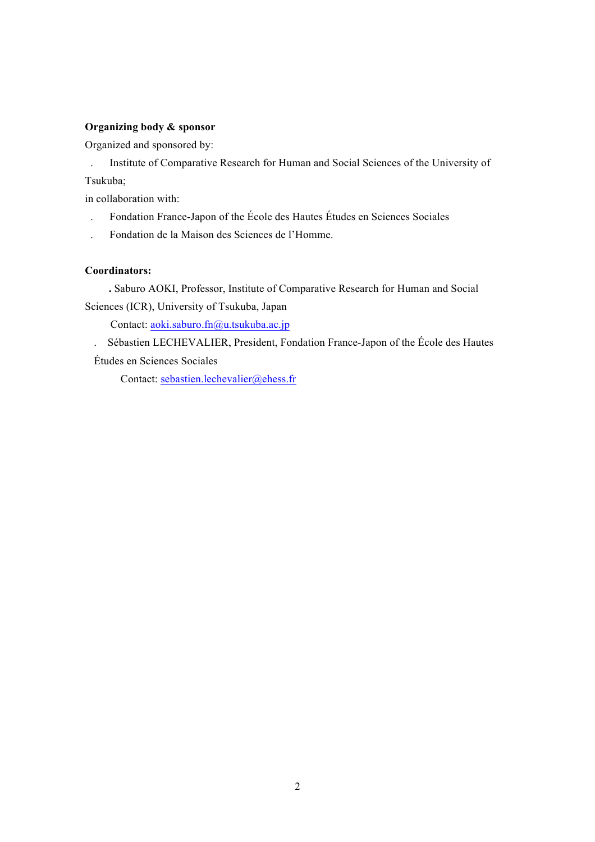#### **Organizing body & sponsor**

Organized and sponsored by:

. Institute of Comparative Research for Human and Social Sciences of the University of Tsukuba;

in collaboration with:

- . Fondation France-Japon of the École des Hautes Études en Sciences Sociales
- . Fondation de la Maison des Sciences de l'Homme.

### **Coordinators:**

 **.** Saburo AOKI, Professor, Institute of Comparative Research for Human and Social Sciences (ICR), University of Tsukuba, Japan

Contact: aoki.saburo.fn@u.tsukuba.ac.jp

. Sébastien LECHEVALIER, President, Fondation France-Japon of the École des Hautes Études en Sciences Sociales

Contact: sebastien.lechevalier@ehess.fr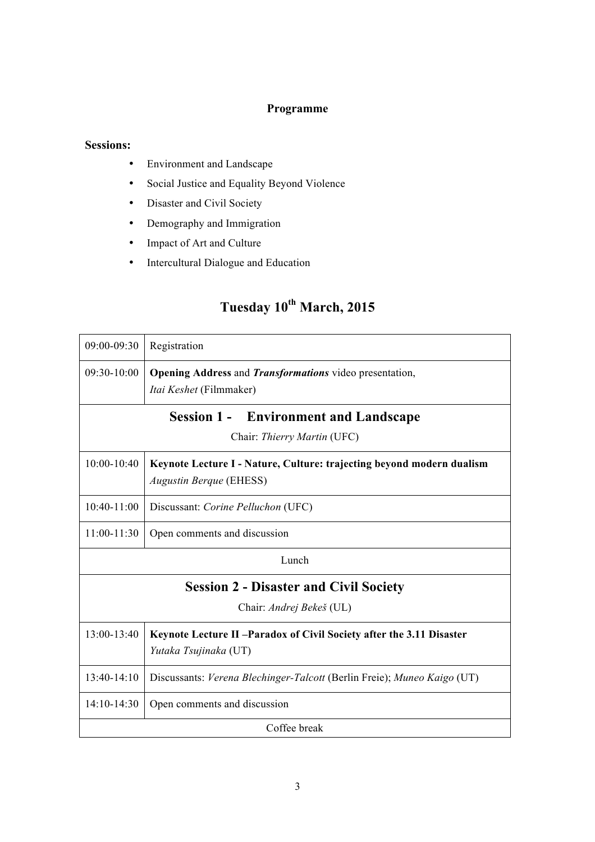## **Programme**

### **Sessions:**

- Environment and Landscape
- Social Justice and Equality Beyond Violence
- Disaster and Civil Society
- Demography and Immigration
- Impact of Art and Culture
- Intercultural Dialogue and Education

## **Tuesday 10th March, 2015**

| 09:00-09:30                                                                           | Registration                                                                                            |  |
|---------------------------------------------------------------------------------------|---------------------------------------------------------------------------------------------------------|--|
| 09:30-10:00                                                                           | Opening Address and Transformations video presentation,<br>Itai Keshet (Filmmaker)                      |  |
| <b>Session 1 -</b><br><b>Environment and Landscape</b><br>Chair: Thierry Martin (UFC) |                                                                                                         |  |
| $10:00-10:40$                                                                         | Keynote Lecture I - Nature, Culture: trajecting beyond modern dualism<br><b>Augustin Berque (EHESS)</b> |  |
| $10:40-11:00$                                                                         | Discussant: Corine Pelluchon (UFC)                                                                      |  |
| $11:00-11:30$                                                                         | Open comments and discussion                                                                            |  |
| Lunch                                                                                 |                                                                                                         |  |
| <b>Session 2 - Disaster and Civil Society</b>                                         |                                                                                                         |  |
| Chair: Andrej Bekeš (UL)                                                              |                                                                                                         |  |
| 13:00-13:40                                                                           | Keynote Lecture II-Paradox of Civil Society after the 3.11 Disaster<br>Yutaka Tsujinaka (UT)            |  |
| 13:40-14:10                                                                           | Discussants: Verena Blechinger-Talcott (Berlin Freie); Muneo Kaigo (UT)                                 |  |
| $14:10-14:30$                                                                         | Open comments and discussion                                                                            |  |
| Coffee break                                                                          |                                                                                                         |  |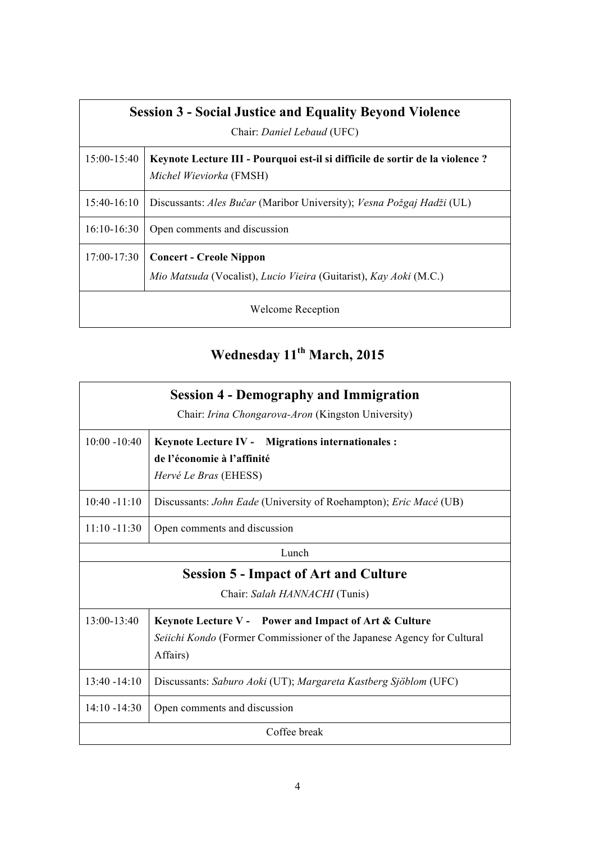| <b>Session 3 - Social Justice and Equality Beyond Violence</b> |                                                                                                          |  |
|----------------------------------------------------------------|----------------------------------------------------------------------------------------------------------|--|
| Chair: Daniel Lebaud (UFC)                                     |                                                                                                          |  |
| $15:00-15:40$                                                  | Keynote Lecture III - Pourquoi est-il si difficile de sortir de la violence ?<br>Michel Wieviorka (FMSH) |  |
| $15:40-16:10$                                                  | Discussants: Ales Bučar (Maribor University); Vesna Požgaj Hadži (UL)                                    |  |
| $16:10-16:30$                                                  | Open comments and discussion                                                                             |  |
| $17:00 - 17:30$                                                | <b>Concert - Creole Nippon</b><br>Mio Matsuda (Vocalist), Lucio Vieira (Guitarist), Kay Aoki (M.C.)      |  |
| <b>Welcome Reception</b>                                       |                                                                                                          |  |

# **Wednesday 11th March, 2015**

| <b>Session 4 - Demography and Immigration</b><br>Chair: Irina Chongarova-Aron (Kingston University) |                                                                                                                 |  |
|-----------------------------------------------------------------------------------------------------|-----------------------------------------------------------------------------------------------------------------|--|
| $10:00 - 10:40$                                                                                     | <b>Keynote Lecture IV - Migrations internationales :</b><br>de l'économie à l'affinité<br>Hervé Le Bras (EHESS) |  |
| $10:40 - 11:10$                                                                                     | Discussants: John Eade (University of Roehampton); Eric Macé (UB)                                               |  |
| $11:10 - 11:30$                                                                                     | Open comments and discussion                                                                                    |  |
| Lunch                                                                                               |                                                                                                                 |  |
| <b>Session 5 - Impact of Art and Culture</b>                                                        |                                                                                                                 |  |
| Chair: Salah HANNACHI (Tunis)                                                                       |                                                                                                                 |  |
| 13:00-13:40                                                                                         | Keynote Lecture V - Power and Impact of Art & Culture                                                           |  |
|                                                                                                     | Seiichi Kondo (Former Commissioner of the Japanese Agency for Cultural<br>Affairs)                              |  |
| $13:40 - 14:10$                                                                                     | Discussants: Saburo Aoki (UT); Margareta Kastberg Sjöblom (UFC)                                                 |  |
| $14:10 - 14:30$                                                                                     | Open comments and discussion                                                                                    |  |
| Coffee break                                                                                        |                                                                                                                 |  |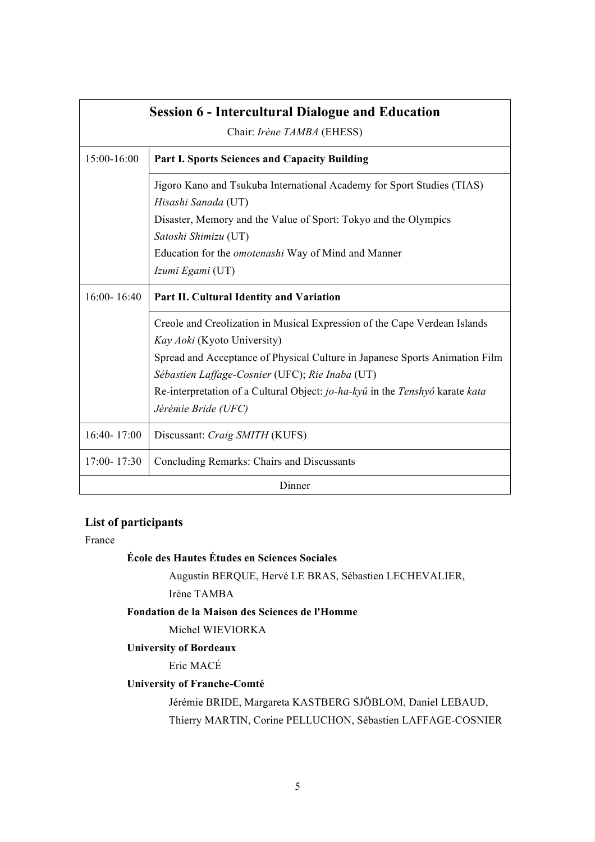| <b>Session 6 - Intercultural Dialogue and Education</b><br>Chair: Irène TAMBA (EHESS) |                                                                                                                                |  |
|---------------------------------------------------------------------------------------|--------------------------------------------------------------------------------------------------------------------------------|--|
| 15:00-16:00                                                                           | <b>Part I. Sports Sciences and Capacity Building</b>                                                                           |  |
|                                                                                       | Jigoro Kano and Tsukuba International Academy for Sport Studies (TIAS)<br>Hisashi Sanada (UT)                                  |  |
|                                                                                       | Disaster, Memory and the Value of Sport: Tokyo and the Olympics<br>Satoshi Shimizu (UT)                                        |  |
|                                                                                       | Education for the <i>omotenashi</i> Way of Mind and Manner<br>Izumi Egami (UT)                                                 |  |
| 16:00-16:40                                                                           | Part II. Cultural Identity and Variation                                                                                       |  |
|                                                                                       | Creole and Creolization in Musical Expression of the Cape Verdean Islands<br>Kay Aoki (Kyoto University)                       |  |
|                                                                                       | Spread and Acceptance of Physical Culture in Japanese Sports Animation Film<br>Sébastien Laffage-Cosnier (UFC); Rie Inaba (UT) |  |
|                                                                                       | Re-interpretation of a Cultural Object: jo-ha-kyû in the Tenshyô karate kata<br>Jérémie Bride (UFC)                            |  |
| 16:40-17:00                                                                           | Discussant: Craig SMITH (KUFS)                                                                                                 |  |
| 17:00-17:30                                                                           | Concluding Remarks: Chairs and Discussants                                                                                     |  |
| Dinner                                                                                |                                                                                                                                |  |

## **List of participants**

France

## **École des Hautes Études en Sciences Sociales**

Augustin BERQUE, Hervé LE BRAS, Sébastien LECHEVALIER,

#### Irène TAMBA

## **Fondation de la Maison des Sciences de l'Homme**

Michel WIEVIORKA

### **University of Bordeaux**

Eric MACÉ

## **University of Franche-Comté**

Jérémie BRIDE, Margareta KASTBERG SJÖBLOM, Daniel LEBAUD, Thierry MARTIN, Corine PELLUCHON, Sébastien LAFFAGE-COSNIER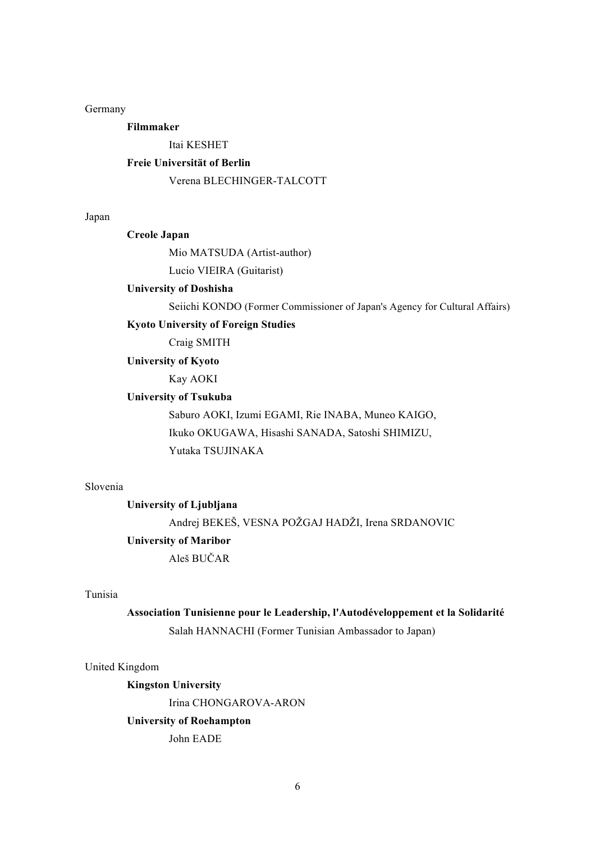Germany

**Filmmaker**

Itai KESHET

#### **Freie Universität of Berlin**

Verena BLECHINGER-TALCOTT

#### Japan

#### **Creole Japan**

Mio MATSUDA (Artist-author)

Lucio VIEIRA (Guitarist)

#### **University of Doshisha**

Seiichi KONDO (Former Commissioner of Japan's Agency for Cultural Affairs)

#### **Kyoto University of Foreign Studies**

Craig SMITH

#### **University of Kyoto**

Kay AOKI

#### **University of Tsukuba**

Saburo AOKI, Izumi EGAMI, Rie INABA, Muneo KAIGO, Ikuko OKUGAWA, Hisashi SANADA, Satoshi SHIMIZU, Yutaka TSUJINAKA

#### Slovenia

#### **University of Ljubljana**

Andrej BEKEŠ, VESNA POŽGAJ HADŽI, Irena SRDANOVIC

#### **University of Maribor**

Aleš BUČAR

#### Tunisia

## **Association Tunisienne pour le Leadership, l'Autodéveloppement et la Solidarité** Salah HANNACHI (Former Tunisian Ambassador to Japan)

#### United Kingdom

**Kingston University** Irina CHONGAROVA-ARON **University of Roehampton**  John EADE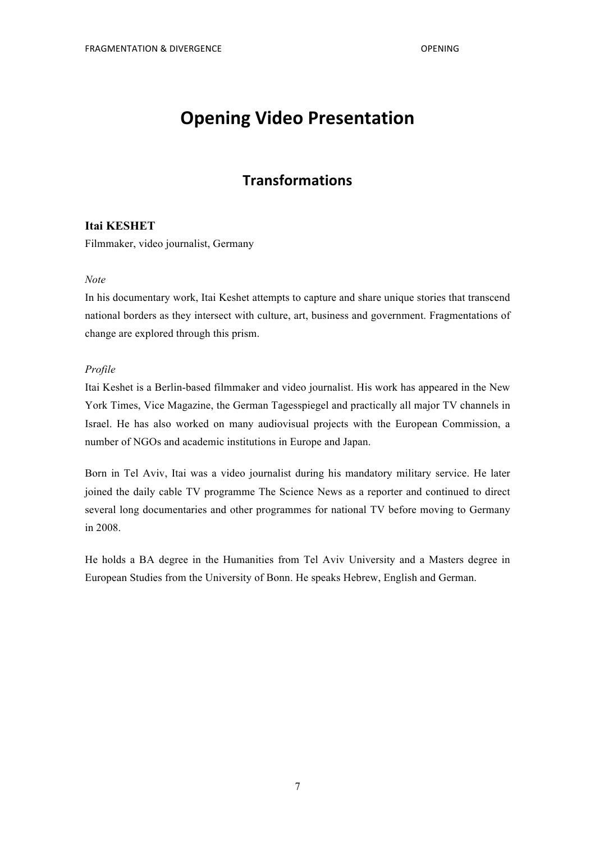## **Opening Video Presentation**

## **Transformations**

### **Itai KESHET**

Filmmaker, video journalist, Germany

#### *Note*

In his documentary work, Itai Keshet attempts to capture and share unique stories that transcend national borders as they intersect with culture, art, business and government. Fragmentations of change are explored through this prism.

#### *Profile*

Itai Keshet is a Berlin-based filmmaker and video journalist. His work has appeared in the New York Times, Vice Magazine, the German Tagesspiegel and practically all major TV channels in Israel. He has also worked on many audiovisual projects with the European Commission, a number of NGOs and academic institutions in Europe and Japan.

Born in Tel Aviv, Itai was a video journalist during his mandatory military service. He later joined the daily cable TV programme The Science News as a reporter and continued to direct several long documentaries and other programmes for national TV before moving to Germany in 2008.

He holds a BA degree in the Humanities from Tel Aviv University and a Masters degree in European Studies from the University of Bonn. He speaks Hebrew, English and German.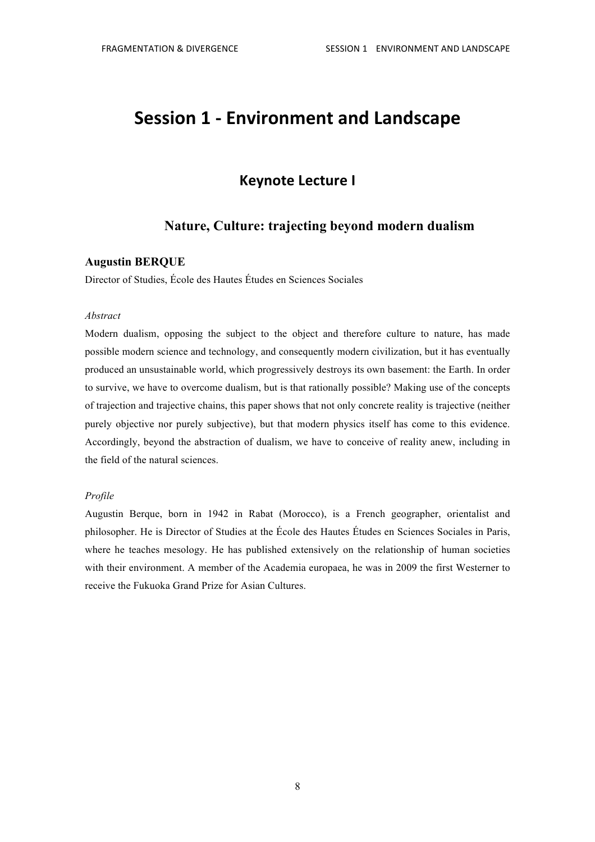## **Session 1 - Environment and Landscape**

## **Keynote Lecture I**

## **Nature, Culture: trajecting beyond modern dualism**

#### **Augustin BERQUE**

Director of Studies, École des Hautes Études en Sciences Sociales

#### *Abstract*

Modern dualism, opposing the subject to the object and therefore culture to nature, has made possible modern science and technology, and consequently modern civilization, but it has eventually produced an unsustainable world, which progressively destroys its own basement: the Earth. In order to survive, we have to overcome dualism, but is that rationally possible? Making use of the concepts of trajection and trajective chains, this paper shows that not only concrete reality is trajective (neither purely objective nor purely subjective), but that modern physics itself has come to this evidence. Accordingly, beyond the abstraction of dualism, we have to conceive of reality anew, including in the field of the natural sciences.

#### *Profile*

Augustin Berque, born in 1942 in Rabat (Morocco), is a French geographer, orientalist and philosopher. He is Director of Studies at the École des Hautes Études en Sciences Sociales in Paris, where he teaches mesology. He has published extensively on the relationship of human societies with their environment. A member of the Academia europaea, he was in 2009 the first Westerner to receive the Fukuoka Grand Prize for Asian Cultures.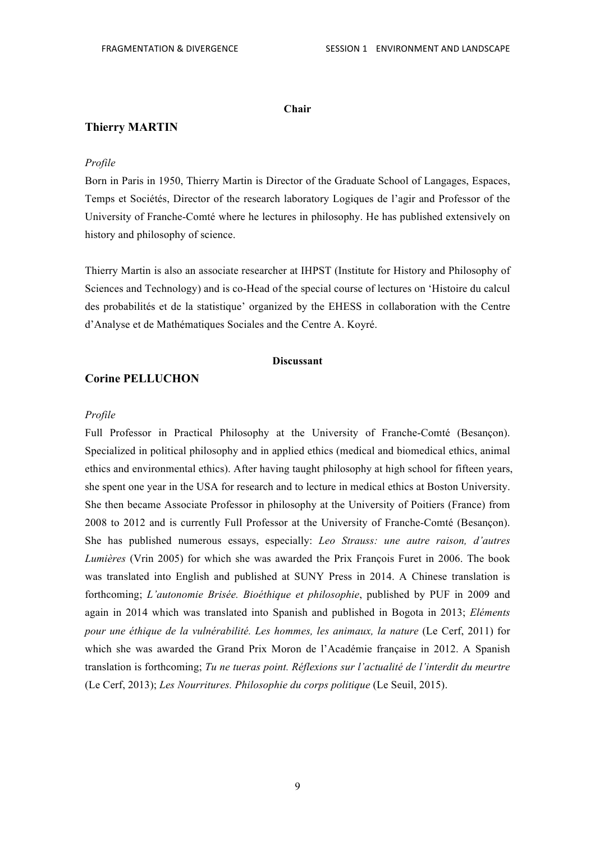#### **Chair**

#### **Thierry MARTIN**

#### *Profile*

Born in Paris in 1950, Thierry Martin is Director of the Graduate School of Langages, Espaces, Temps et Sociétés, Director of the research laboratory Logiques de l'agir and Professor of the University of Franche-Comté where he lectures in philosophy. He has published extensively on history and philosophy of science.

Thierry Martin is also an associate researcher at IHPST (Institute for History and Philosophy of Sciences and Technology) and is co-Head of the special course of lectures on 'Histoire du calcul des probabilités et de la statistique' organized by the EHESS in collaboration with the Centre d'Analyse et de Mathématiques Sociales and the Centre A. Koyré.

#### **Discussant**

#### **Corine PELLUCHON**

#### *Profile*

Full Professor in Practical Philosophy at the University of Franche-Comté (Besançon). Specialized in political philosophy and in applied ethics (medical and biomedical ethics, animal ethics and environmental ethics). After having taught philosophy at high school for fifteen years, she spent one year in the USA for research and to lecture in medical ethics at Boston University. She then became Associate Professor in philosophy at the University of Poitiers (France) from 2008 to 2012 and is currently Full Professor at the University of Franche-Comté (Besançon). She has published numerous essays, especially: *Leo Strauss: une autre raison, d'autres Lumières* (Vrin 2005) for which she was awarded the Prix François Furet in 2006. The book was translated into English and published at SUNY Press in 2014. A Chinese translation is forthcoming; *L'autonomie Brisée. Bioéthique et philosophie*, published by PUF in 2009 and again in 2014 which was translated into Spanish and published in Bogota in 2013; *Eléments pour une éthique de la vulnérabilité. Les hommes, les animaux, la nature* (Le Cerf, 2011) for which she was awarded the Grand Prix Moron de l'Académie française in 2012. A Spanish translation is forthcoming; *Tu ne tueras point. Réflexions sur l'actualité de l'interdit du meurtre* (Le Cerf, 2013); *Les Nourritures. Philosophie du corps politique* (Le Seuil, 2015).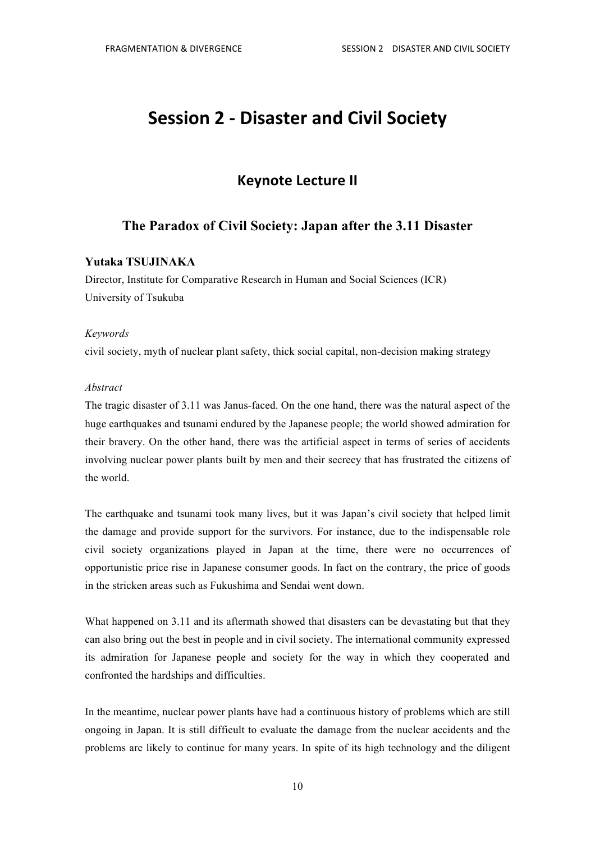## **Session 2 - Disaster and Civil Society**

## **Keynote Lecture II**

## **The Paradox of Civil Society: Japan after the 3.11 Disaster**

#### **Yutaka TSUJINAKA**

Director, Institute for Comparative Research in Human and Social Sciences (ICR) University of Tsukuba

#### *Keywords*

civil society, myth of nuclear plant safety, thick social capital, non-decision making strategy

#### *Abstract*

The tragic disaster of 3.11 was Janus-faced. On the one hand, there was the natural aspect of the huge earthquakes and tsunami endured by the Japanese people; the world showed admiration for their bravery. On the other hand, there was the artificial aspect in terms of series of accidents involving nuclear power plants built by men and their secrecy that has frustrated the citizens of the world.

The earthquake and tsunami took many lives, but it was Japan's civil society that helped limit the damage and provide support for the survivors. For instance, due to the indispensable role civil society organizations played in Japan at the time, there were no occurrences of opportunistic price rise in Japanese consumer goods. In fact on the contrary, the price of goods in the stricken areas such as Fukushima and Sendai went down.

What happened on 3.11 and its aftermath showed that disasters can be devastating but that they can also bring out the best in people and in civil society. The international community expressed its admiration for Japanese people and society for the way in which they cooperated and confronted the hardships and difficulties.

In the meantime, nuclear power plants have had a continuous history of problems which are still ongoing in Japan. It is still difficult to evaluate the damage from the nuclear accidents and the problems are likely to continue for many years. In spite of its high technology and the diligent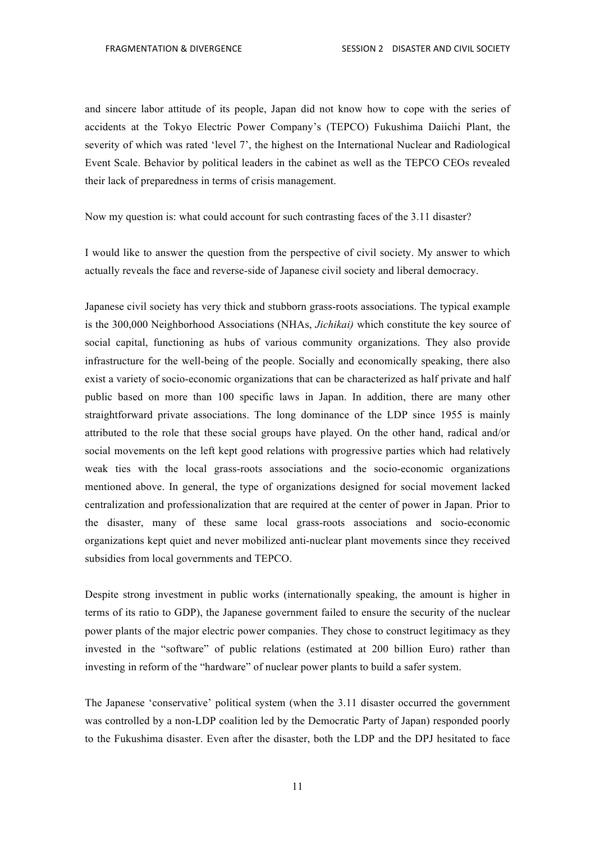and sincere labor attitude of its people, Japan did not know how to cope with the series of accidents at the Tokyo Electric Power Company's (TEPCO) Fukushima Daiichi Plant, the severity of which was rated 'level 7', the highest on the International Nuclear and Radiological Event Scale. Behavior by political leaders in the cabinet as well as the TEPCO CEOs revealed their lack of preparedness in terms of crisis management.

Now my question is: what could account for such contrasting faces of the 3.11 disaster?

I would like to answer the question from the perspective of civil society. My answer to which actually reveals the face and reverse-side of Japanese civil society and liberal democracy.

Japanese civil society has very thick and stubborn grass-roots associations. The typical example is the 300,000 Neighborhood Associations (NHAs, *Jichikai)* which constitute the key source of social capital, functioning as hubs of various community organizations. They also provide infrastructure for the well-being of the people. Socially and economically speaking, there also exist a variety of socio-economic organizations that can be characterized as half private and half public based on more than 100 specific laws in Japan. In addition, there are many other straightforward private associations. The long dominance of the LDP since 1955 is mainly attributed to the role that these social groups have played. On the other hand, radical and/or social movements on the left kept good relations with progressive parties which had relatively weak ties with the local grass-roots associations and the socio-economic organizations mentioned above. In general, the type of organizations designed for social movement lacked centralization and professionalization that are required at the center of power in Japan. Prior to the disaster, many of these same local grass-roots associations and socio-economic organizations kept quiet and never mobilized anti-nuclear plant movements since they received subsidies from local governments and TEPCO.

Despite strong investment in public works (internationally speaking, the amount is higher in terms of its ratio to GDP), the Japanese government failed to ensure the security of the nuclear power plants of the major electric power companies. They chose to construct legitimacy as they invested in the "software" of public relations (estimated at 200 billion Euro) rather than investing in reform of the "hardware" of nuclear power plants to build a safer system.

The Japanese 'conservative' political system (when the 3.11 disaster occurred the government was controlled by a non-LDP coalition led by the Democratic Party of Japan) responded poorly to the Fukushima disaster. Even after the disaster, both the LDP and the DPJ hesitated to face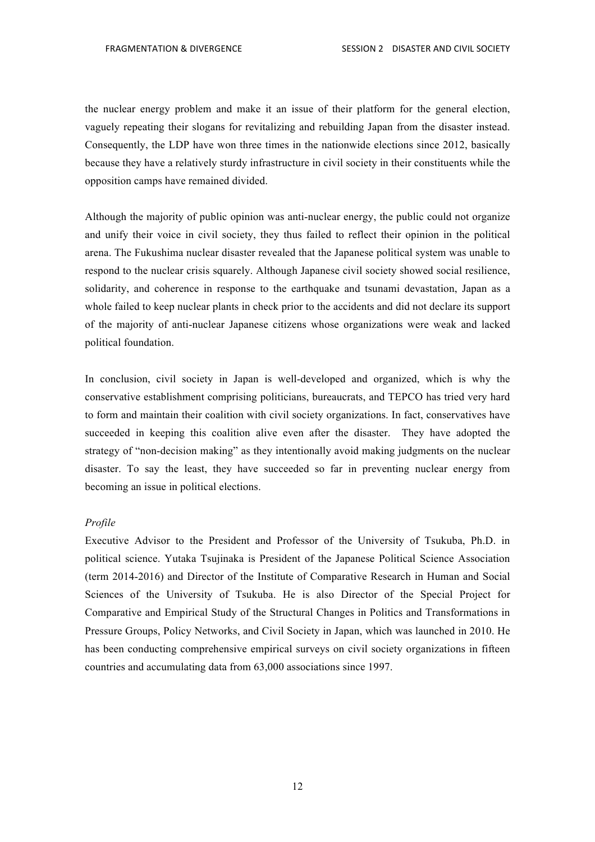the nuclear energy problem and make it an issue of their platform for the general election, vaguely repeating their slogans for revitalizing and rebuilding Japan from the disaster instead. Consequently, the LDP have won three times in the nationwide elections since 2012, basically because they have a relatively sturdy infrastructure in civil society in their constituents while the opposition camps have remained divided.

Although the majority of public opinion was anti-nuclear energy, the public could not organize and unify their voice in civil society, they thus failed to reflect their opinion in the political arena. The Fukushima nuclear disaster revealed that the Japanese political system was unable to respond to the nuclear crisis squarely. Although Japanese civil society showed social resilience, solidarity, and coherence in response to the earthquake and tsunami devastation, Japan as a whole failed to keep nuclear plants in check prior to the accidents and did not declare its support of the majority of anti-nuclear Japanese citizens whose organizations were weak and lacked political foundation.

In conclusion, civil society in Japan is well-developed and organized, which is why the conservative establishment comprising politicians, bureaucrats, and TEPCO has tried very hard to form and maintain their coalition with civil society organizations. In fact, conservatives have succeeded in keeping this coalition alive even after the disaster. They have adopted the strategy of "non-decision making" as they intentionally avoid making judgments on the nuclear disaster. To say the least, they have succeeded so far in preventing nuclear energy from becoming an issue in political elections.

#### *Profile*

Executive Advisor to the President and Professor of the University of Tsukuba, Ph.D. in political science. Yutaka Tsujinaka is President of the Japanese Political Science Association (term 2014-2016) and Director of the Institute of Comparative Research in Human and Social Sciences of the University of Tsukuba. He is also Director of the Special Project for Comparative and Empirical Study of the Structural Changes in Politics and Transformations in Pressure Groups, Policy Networks, and Civil Society in Japan, which was launched in 2010. He has been conducting comprehensive empirical surveys on civil society organizations in fifteen countries and accumulating data from 63,000 associations since 1997.

12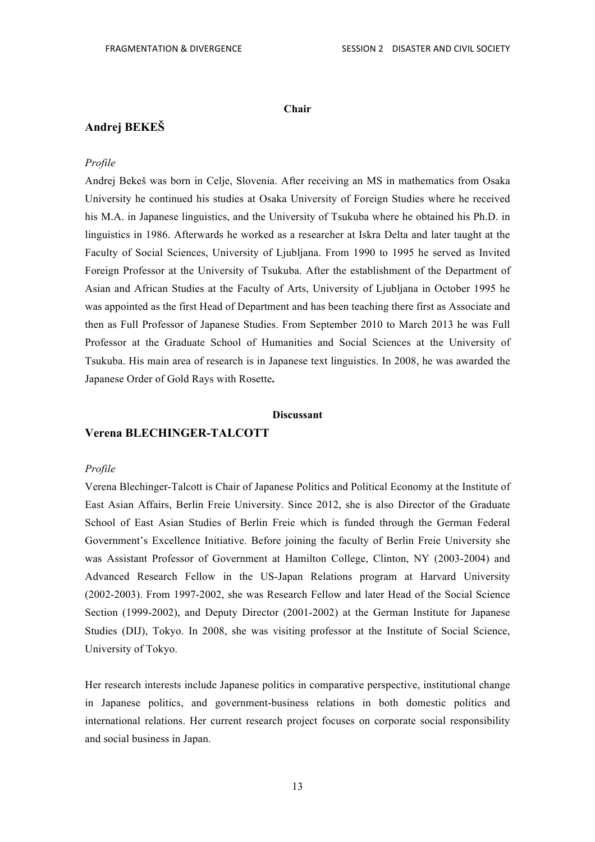#### **Chair**

## **Andrej BEKEŠ**

#### *Profile*

Andrej Bekeš was born in Celje, Slovenia. After receiving an MS in mathematics from Osaka University he continued his studies at Osaka University of Foreign Studies where he received his M.A. in Japanese linguistics, and the University of Tsukuba where he obtained his Ph.D. in linguistics in 1986. Afterwards he worked as a researcher at Iskra Delta and later taught at the Faculty of Social Sciences, University of Ljubljana. From 1990 to 1995 he served as Invited Foreign Professor at the University of Tsukuba. After the establishment of the Department of Asian and African Studies at the Faculty of Arts, University of Ljubljana in October 1995 he was appointed as the first Head of Department and has been teaching there first as Associate and then as Full Professor of Japanese Studies. From September 2010 to March 2013 he was Full Professor at the Graduate School of Humanities and Social Sciences at the University of Tsukuba. His main area of research is in Japanese text linguistics. In 2008, he was awarded the Japanese Order of Gold Rays with Rosette**.**

#### **Discussant**

#### **Verena BLECHINGER-TALCOTT**

#### *Profile*

Verena Blechinger-Talcott is Chair of Japanese Politics and Political Economy at the Institute of East Asian Affairs, Berlin Freie University. Since 2012, she is also Director of the Graduate School of East Asian Studies of Berlin Freie which is funded through the German Federal Government's Excellence Initiative. Before joining the faculty of Berlin Freie University she was Assistant Professor of Government at Hamilton College, Clinton, NY (2003-2004) and Advanced Research Fellow in the US-Japan Relations program at Harvard University (2002-2003). From 1997-2002, she was Research Fellow and later Head of the Social Science Section (1999-2002), and Deputy Director (2001-2002) at the German Institute for Japanese Studies (DIJ), Tokyo. In 2008, she was visiting professor at the Institute of Social Science, University of Tokyo.

Her research interests include Japanese politics in comparative perspective, institutional change in Japanese politics, and government-business relations in both domestic politics and international relations. Her current research project focuses on corporate social responsibility and social business in Japan.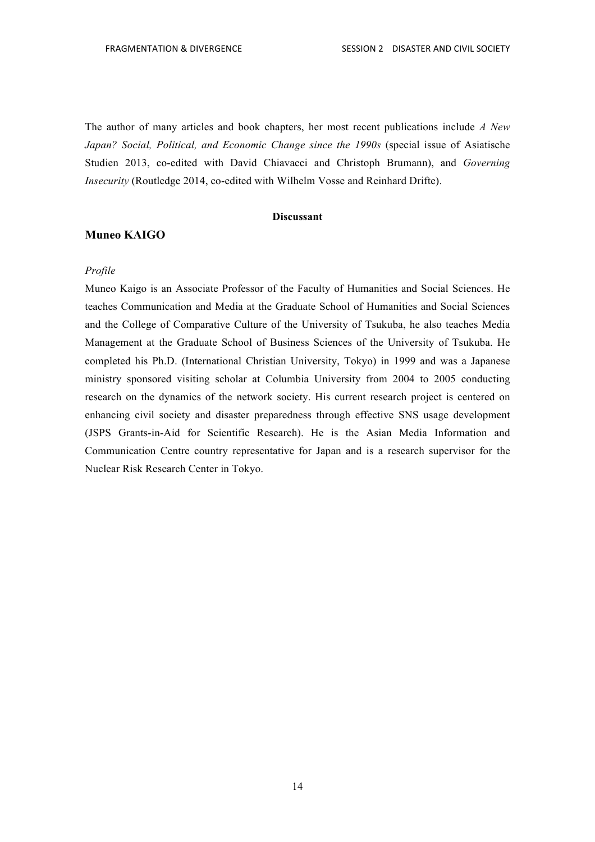The author of many articles and book chapters, her most recent publications include *A New Japan? Social, Political, and Economic Change since the 1990s* (special issue of Asiatische Studien 2013, co-edited with David Chiavacci and Christoph Brumann), and *Governing Insecurity* (Routledge 2014, co-edited with Wilhelm Vosse and Reinhard Drifte).

#### **Discussant**

#### **Muneo KAIGO**

#### *Profile*

Muneo Kaigo is an Associate Professor of the Faculty of Humanities and Social Sciences. He teaches Communication and Media at the Graduate School of Humanities and Social Sciences and the College of Comparative Culture of the University of Tsukuba, he also teaches Media Management at the Graduate School of Business Sciences of the University of Tsukuba. He completed his Ph.D. (International Christian University, Tokyo) in 1999 and was a Japanese ministry sponsored visiting scholar at Columbia University from 2004 to 2005 conducting research on the dynamics of the network society. His current research project is centered on enhancing civil society and disaster preparedness through effective SNS usage development (JSPS Grants-in-Aid for Scientific Research). He is the Asian Media Information and Communication Centre country representative for Japan and is a research supervisor for the Nuclear Risk Research Center in Tokyo.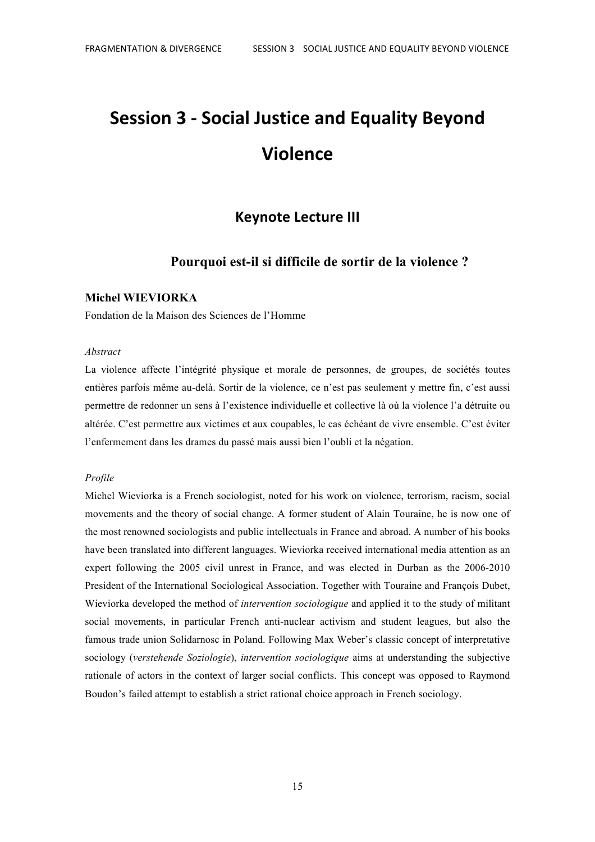# **Session 3 - Social Justice and Equality Beyond Violence**

## **Keynote Lecture III**

## **Pourquoi est-il si difficile de sortir de la violence ?**

#### **Michel WIEVIORKA**

Fondation de la Maison des Sciences de l'Homme

#### *Abstract*

La violence affecte l'intégrité physique et morale de personnes, de groupes, de sociétés toutes entières parfois même au-delà. Sortir de la violence, ce n'est pas seulement y mettre fin, c'est aussi permettre de redonner un sens à l'existence individuelle et collective là où la violence l'a détruite ou altérée. C'est permettre aux victimes et aux coupables, le cas échéant de vivre ensemble. C'est éviter l'enfermement dans les drames du passé mais aussi bien l'oubli et la négation.

#### *Profile*

Michel Wieviorka is a French sociologist, noted for his work on violence, terrorism, racism, social movements and the theory of social change. A former student of Alain Touraine, he is now one of the most renowned sociologists and public intellectuals in France and abroad. A number of his books have been translated into different languages. Wieviorka received international media attention as an expert following the 2005 civil unrest in France, and was elected in Durban as the 2006-2010 President of the International Sociological Association. Together with Touraine and François Dubet, Wieviorka developed the method of *intervention sociologique* and applied it to the study of militant social movements, in particular French anti-nuclear activism and student leagues, but also the famous trade union Solidarnosc in Poland. Following Max Weber's classic concept of interpretative sociology (*verstehende Soziologie*), *intervention sociologique* aims at understanding the subjective rationale of actors in the context of larger social conflicts. This concept was opposed to Raymond Boudon's failed attempt to establish a strict rational choice approach in French sociology.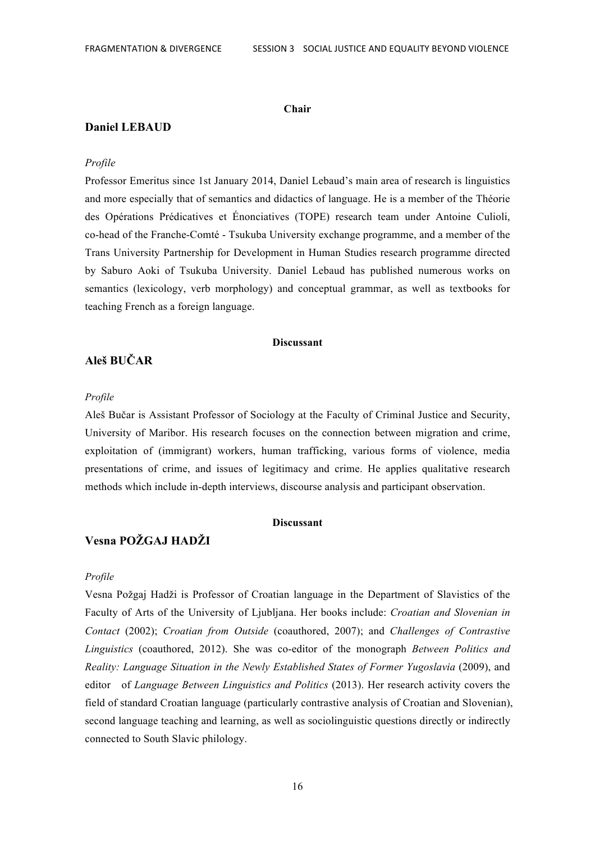#### **Chair**

#### **Daniel LEBAUD**

#### *Profile*

Professor Emeritus since 1st January 2014, Daniel Lebaud's main area of research is linguistics and more especially that of semantics and didactics of language. He is a member of the Théorie des Opérations Prédicatives et Énonciatives (TOPE) research team under Antoine Culioli, co-head of the Franche-Comté - Tsukuba University exchange programme, and a member of the Trans University Partnership for Development in Human Studies research programme directed by Saburo Aoki of Tsukuba University. Daniel Lebaud has published numerous works on semantics (lexicology, verb morphology) and conceptual grammar, as well as textbooks for teaching French as a foreign language.

#### **Discussant**

## **Aleš BUČAR**

#### *Profile*

Aleš Bučar is Assistant Professor of Sociology at the Faculty of Criminal Justice and Security, University of Maribor. His research focuses on the connection between migration and crime, exploitation of (immigrant) workers, human trafficking, various forms of violence, media presentations of crime, and issues of legitimacy and crime. He applies qualitative research methods which include in-depth interviews, discourse analysis and participant observation.

#### **Discussant**

## **Vesna POŽGAJ HADŽI**

#### *Profile*

Vesna Požgaj Hadži is Professor of Croatian language in the Department of Slavistics of the Faculty of Arts of the University of Ljubljana. Her books include: *Croatian and Slovenian in Contact* (2002); *Croatian from Outside* (coauthored, 2007); and *Challenges of Contrastive Linguistics* (coauthored, 2012). She was co-editor of the monograph *Between Politics and Reality: Language Situation in the Newly Established States of Former Yugoslavia* (2009), and editor of *Language Between Linguistics and Politics* (2013). Her research activity covers the field of standard Croatian language (particularly contrastive analysis of Croatian and Slovenian), second language teaching and learning, as well as sociolinguistic questions directly or indirectly connected to South Slavic philology.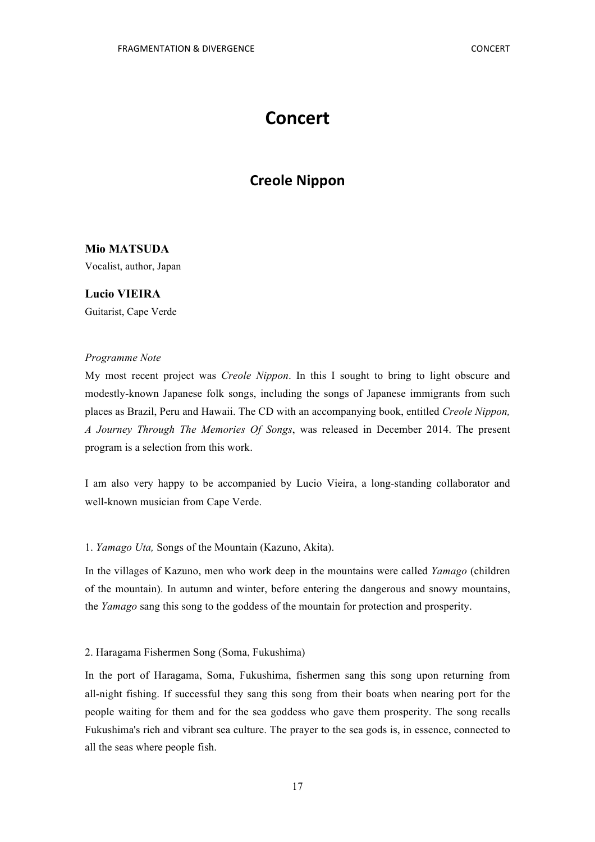## **Concert**

## **Creole Nippon**

## **Mio MATSUDA**

Vocalist, author, Japan

## **Lucio VIEIRA** Guitarist, Cape Verde

#### *Programme Note*

My most recent project was *Creole Nippon*. In this I sought to bring to light obscure and modestly-known Japanese folk songs, including the songs of Japanese immigrants from such places as Brazil, Peru and Hawaii. The CD with an accompanying book, entitled *Creole Nippon, A Journey Through The Memories Of Songs*, was released in December 2014. The present program is a selection from this work.

I am also very happy to be accompanied by Lucio Vieira, a long-standing collaborator and well-known musician from Cape Verde.

#### 1. *Yamago Uta,* Songs of the Mountain (Kazuno, Akita).

In the villages of Kazuno, men who work deep in the mountains were called *Yamago* (children of the mountain). In autumn and winter, before entering the dangerous and snowy mountains, the *Yamago* sang this song to the goddess of the mountain for protection and prosperity.

#### 2. Haragama Fishermen Song (Soma, Fukushima)

In the port of Haragama, Soma, Fukushima, fishermen sang this song upon returning from all-night fishing. If successful they sang this song from their boats when nearing port for the people waiting for them and for the sea goddess who gave them prosperity. The song recalls Fukushima's rich and vibrant sea culture. The prayer to the sea gods is, in essence, connected to all the seas where people fish.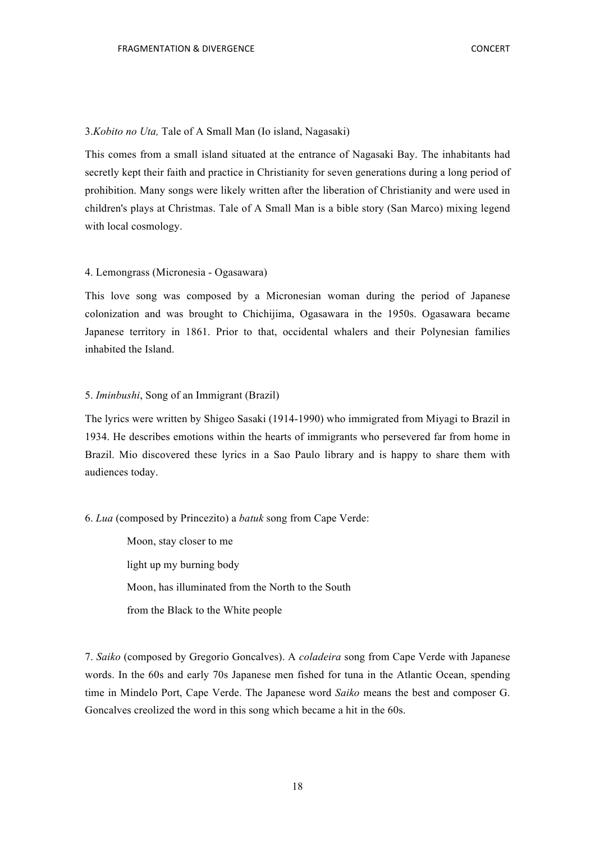#### 3.*Kobito no Uta,* Tale of A Small Man (Io island, Nagasaki)

This comes from a small island situated at the entrance of Nagasaki Bay. The inhabitants had secretly kept their faith and practice in Christianity for seven generations during a long period of prohibition. Many songs were likely written after the liberation of Christianity and were used in children's plays at Christmas. Tale of A Small Man is a bible story (San Marco) mixing legend with local cosmology.

#### 4. Lemongrass (Micronesia - Ogasawara)

This love song was composed by a Micronesian woman during the period of Japanese colonization and was brought to Chichijima, Ogasawara in the 1950s. Ogasawara became Japanese territory in 1861. Prior to that, occidental whalers and their Polynesian families inhabited the Island.

#### 5. *Iminbushi*, Song of an Immigrant (Brazil)

The lyrics were written by Shigeo Sasaki (1914-1990) who immigrated from Miyagi to Brazil in 1934. He describes emotions within the hearts of immigrants who persevered far from home in Brazil. Mio discovered these lyrics in a Sao Paulo library and is happy to share them with audiences today.

#### 6. *Lua* (composed by Princezito) a *batuk* song from Cape Verde:

Moon, stay closer to me light up my burning body Moon, has illuminated from the North to the South from the Black to the White people

7. *Saiko* (composed by Gregorio Goncalves). A *coladeira* song from Cape Verde with Japanese words. In the 60s and early 70s Japanese men fished for tuna in the Atlantic Ocean, spending time in Mindelo Port, Cape Verde. The Japanese word *Saiko* means the best and composer G. Goncalves creolized the word in this song which became a hit in the 60s.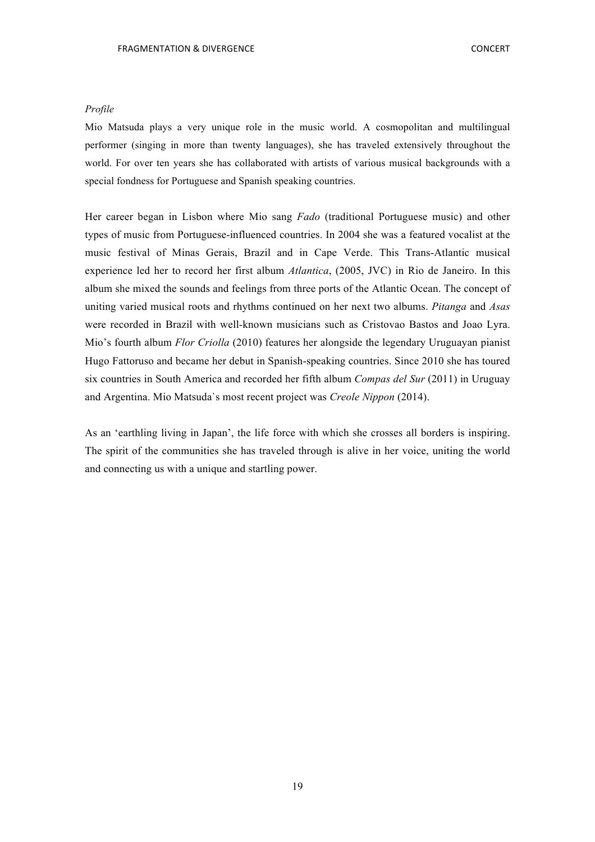#### *Profile*

Mio Matsuda plays a very unique role in the music world. A cosmopolitan and multilingual performer (singing in more than twenty languages), she has traveled extensively throughout the world. For over ten years she has collaborated with artists of various musical backgrounds with a special fondness for Portuguese and Spanish speaking countries.

Her career began in Lisbon where Mio sang *Fado* (traditional Portuguese music) and other types of music from Portuguese-influenced countries. In 2004 she was a featured vocalist at the music festival of Minas Gerais, Brazil and in Cape Verde. This Trans-Atlantic musical experience led her to record her first album *Atlantica*, (2005, JVC) in Rio de Janeiro. In this album she mixed the sounds and feelings from three ports of the Atlantic Ocean. The concept of uniting varied musical roots and rhythms continued on her next two albums. *Pitanga* and *Asas* were recorded in Brazil with well-known musicians such as Cristovao Bastos and Joao Lyra. Mio's fourth album *Flor Criolla* (2010) features her alongside the legendary Uruguayan pianist Hugo Fattoruso and became her debut in Spanish-speaking countries. Since 2010 she has toured six countries in South America and recorded her fifth album *Compas del Sur* (2011) in Uruguay and Argentina. Mio Matsuda`s most recent project was *Creole Nippon* (2014).

As an 'earthling living in Japan', the life force with which she crosses all borders is inspiring. The spirit of the communities she has traveled through is alive in her voice, uniting the world and connecting us with a unique and startling power.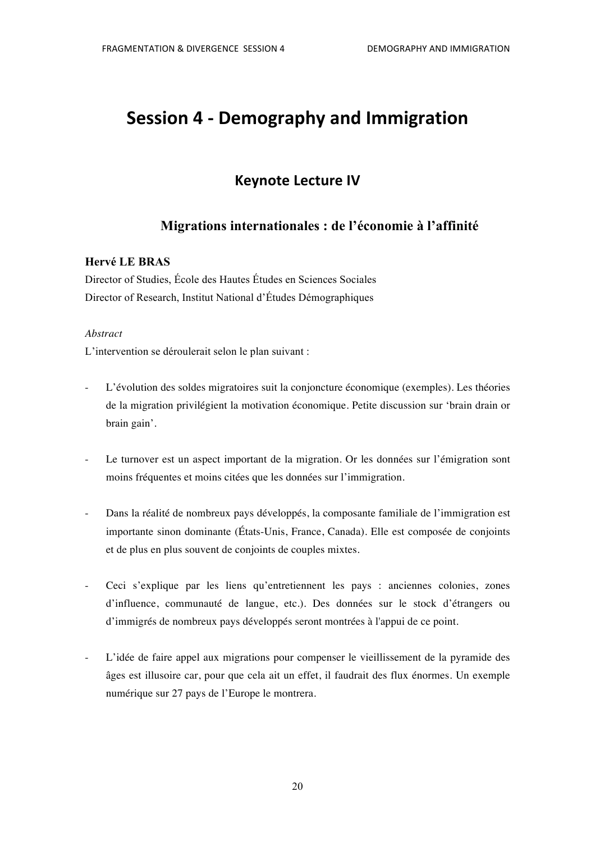## **Session 4 - Demography and Immigration**

## **Keynote Lecture IV**

## **Migrations internationales : de l'économie à l'affinité**

### **Hervé LE BRAS**

Director of Studies, École des Hautes Études en Sciences Sociales Director of Research, Institut National d'Études Démographiques

#### *Abstract*

L'intervention se déroulerait selon le plan suivant :

- L'évolution des soldes migratoires suit la conjoncture économique (exemples). Les théories de la migration privilégient la motivation économique. Petite discussion sur 'brain drain or brain gain'.
- Le turnover est un aspect important de la migration. Or les données sur l'émigration sont moins fréquentes et moins citées que les données sur l'immigration.
- Dans la réalité de nombreux pays développés, la composante familiale de l'immigration est importante sinon dominante (États-Unis, France, Canada). Elle est composée de conjoints et de plus en plus souvent de conjoints de couples mixtes.
- Ceci s'explique par les liens qu'entretiennent les pays : anciennes colonies, zones d'influence, communauté de langue, etc.). Des données sur le stock d'étrangers ou d'immigrés de nombreux pays développés seront montrées à l'appui de ce point.
- L'idée de faire appel aux migrations pour compenser le vieillissement de la pyramide des âges est illusoire car, pour que cela ait un effet, il faudrait des flux énormes. Un exemple numérique sur 27 pays de l'Europe le montrera.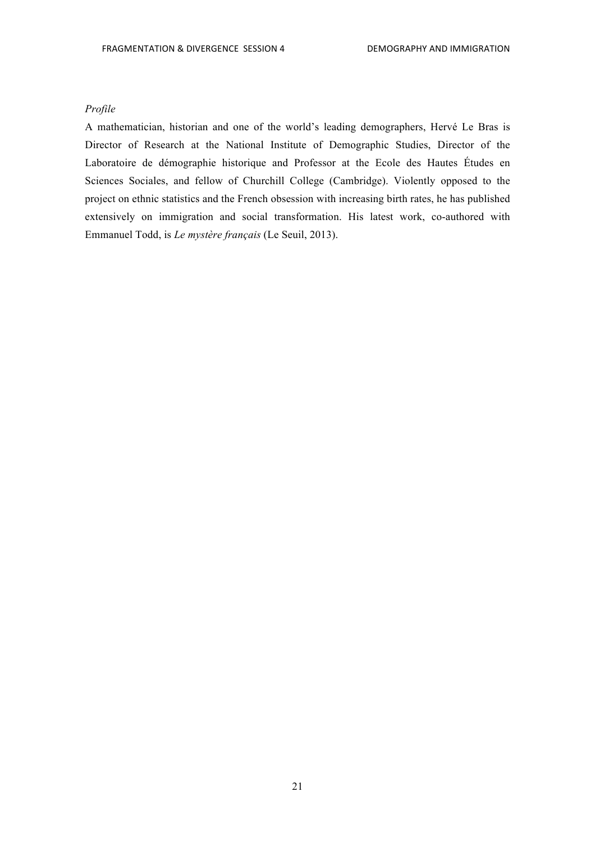#### *Profile*

A mathematician, historian and one of the world's leading demographers, Hervé Le Bras is Director of Research at the National Institute of Demographic Studies, Director of the Laboratoire de démographie historique and Professor at the Ecole des Hautes Études en Sciences Sociales, and fellow of Churchill College (Cambridge). Violently opposed to the project on ethnic statistics and the French obsession with increasing birth rates, he has published extensively on immigration and social transformation. His latest work, co-authored with Emmanuel Todd, is *Le mystère français* (Le Seuil, 2013).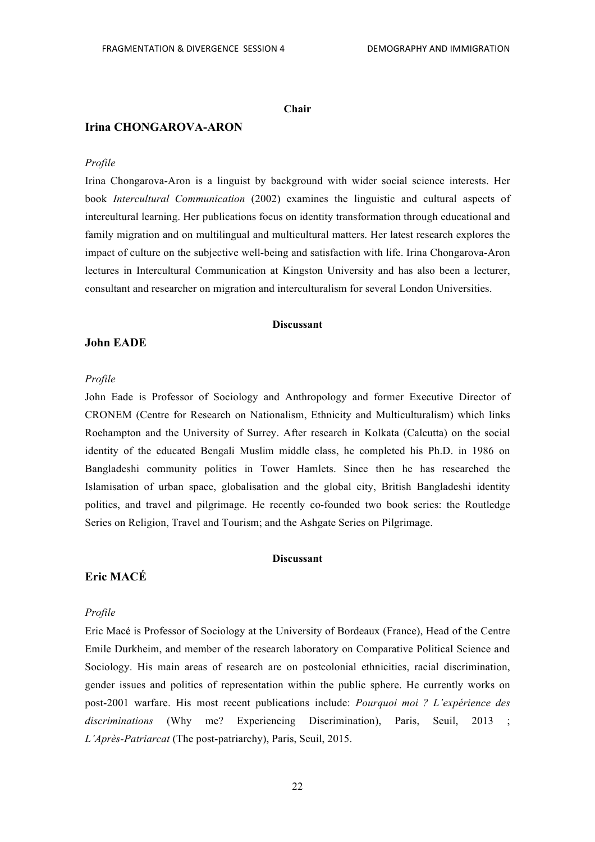#### **Chair**

#### **Irina CHONGAROVA-ARON**

#### *Profile*

Irina Chongarova-Aron is a linguist by background with wider social science interests. Her book *Intercultural Communication* (2002) examines the linguistic and cultural aspects of intercultural learning. Her publications focus on identity transformation through educational and family migration and on multilingual and multicultural matters. Her latest research explores the impact of culture on the subjective well-being and satisfaction with life. Irina Chongarova-Aron lectures in Intercultural Communication at Kingston University and has also been a lecturer, consultant and researcher on migration and interculturalism for several London Universities.

#### **Discussant**

#### **John EADE**

#### *Profile*

John Eade is Professor of Sociology and Anthropology and former Executive Director of CRONEM (Centre for Research on Nationalism, Ethnicity and Multiculturalism) which links Roehampton and the University of Surrey. After research in Kolkata (Calcutta) on the social identity of the educated Bengali Muslim middle class, he completed his Ph.D. in 1986 on Bangladeshi community politics in Tower Hamlets. Since then he has researched the Islamisation of urban space, globalisation and the global city, British Bangladeshi identity politics, and travel and pilgrimage. He recently co-founded two book series: the Routledge Series on Religion, Travel and Tourism; and the Ashgate Series on Pilgrimage.

#### **Discussant**

### **Eric MACÉ**

#### *Profile*

Eric Macé is Professor of Sociology at the University of Bordeaux (France), Head of the Centre Emile Durkheim, and member of the research laboratory on Comparative Political Science and Sociology. His main areas of research are on postcolonial ethnicities, racial discrimination, gender issues and politics of representation within the public sphere. He currently works on post-2001 warfare. His most recent publications include: *Pourquoi moi ? L'expérience des discriminations* (Why me? Experiencing Discrimination), Paris, Seuil, 2013 *L'Après-Patriarcat* (The post-patriarchy), Paris, Seuil, 2015.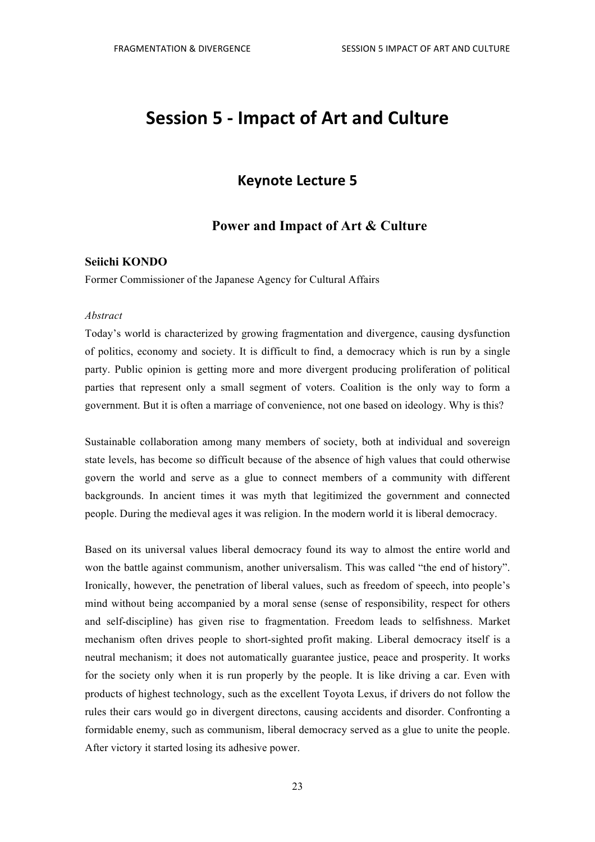## **Session 5 - Impact of Art and Culture**

## **Keynote Lecture 5**

## **Power and Impact of Art & Culture**

#### **Seiichi KONDO**

Former Commissioner of the Japanese Agency for Cultural Affairs

#### *Abstract*

Today's world is characterized by growing fragmentation and divergence, causing dysfunction of politics, economy and society. It is difficult to find, a democracy which is run by a single party. Public opinion is getting more and more divergent producing proliferation of political parties that represent only a small segment of voters. Coalition is the only way to form a government. But it is often a marriage of convenience, not one based on ideology. Why is this?

Sustainable collaboration among many members of society, both at individual and sovereign state levels, has become so difficult because of the absence of high values that could otherwise govern the world and serve as a glue to connect members of a community with different backgrounds. In ancient times it was myth that legitimized the government and connected people. During the medieval ages it was religion. In the modern world it is liberal democracy.

Based on its universal values liberal democracy found its way to almost the entire world and won the battle against communism, another universalism. This was called "the end of history". Ironically, however, the penetration of liberal values, such as freedom of speech, into people's mind without being accompanied by a moral sense (sense of responsibility, respect for others and self-discipline) has given rise to fragmentation. Freedom leads to selfishness. Market mechanism often drives people to short-sighted profit making. Liberal democracy itself is a neutral mechanism; it does not automatically guarantee justice, peace and prosperity. It works for the society only when it is run properly by the people. It is like driving a car. Even with products of highest technology, such as the excellent Toyota Lexus, if drivers do not follow the rules their cars would go in divergent directons, causing accidents and disorder. Confronting a formidable enemy, such as communism, liberal democracy served as a glue to unite the people. After victory it started losing its adhesive power.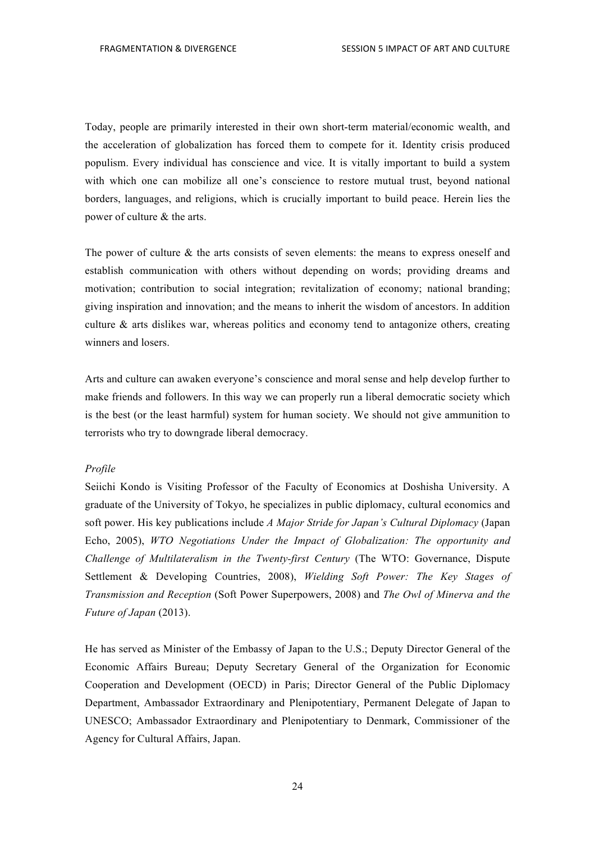Today, people are primarily interested in their own short-term material/economic wealth, and the acceleration of globalization has forced them to compete for it. Identity crisis produced populism. Every individual has conscience and vice. It is vitally important to build a system with which one can mobilize all one's conscience to restore mutual trust, beyond national borders, languages, and religions, which is crucially important to build peace. Herein lies the power of culture & the arts.

The power of culture  $\&$  the arts consists of seven elements: the means to express oneself and establish communication with others without depending on words; providing dreams and motivation; contribution to social integration; revitalization of economy; national branding; giving inspiration and innovation; and the means to inherit the wisdom of ancestors. In addition culture  $\&$  arts dislikes war, whereas politics and economy tend to antagonize others, creating winners and losers.

Arts and culture can awaken everyone's conscience and moral sense and help develop further to make friends and followers. In this way we can properly run a liberal democratic society which is the best (or the least harmful) system for human society. We should not give ammunition to terrorists who try to downgrade liberal democracy.

#### *Profile*

Seiichi Kondo is Visiting Professor of the Faculty of Economics at Doshisha University. A graduate of the University of Tokyo, he specializes in public diplomacy, cultural economics and soft power. His key publications include *A Major Stride for Japan's Cultural Diplomacy* (Japan Echo, 2005), *WTO Negotiations Under the Impact of Globalization: The opportunity and Challenge of Multilateralism in the Twenty-first Century* (The WTO: Governance, Dispute Settlement & Developing Countries, 2008), *Wielding Soft Power: The Key Stages of Transmission and Reception* (Soft Power Superpowers, 2008) and *The Owl of Minerva and the Future of Japan* (2013).

He has served as Minister of the Embassy of Japan to the U.S.; Deputy Director General of the Economic Affairs Bureau; Deputy Secretary General of the Organization for Economic Cooperation and Development (OECD) in Paris; Director General of the Public Diplomacy Department, Ambassador Extraordinary and Plenipotentiary, Permanent Delegate of Japan to UNESCO; Ambassador Extraordinary and Plenipotentiary to Denmark, Commissioner of the Agency for Cultural Affairs, Japan.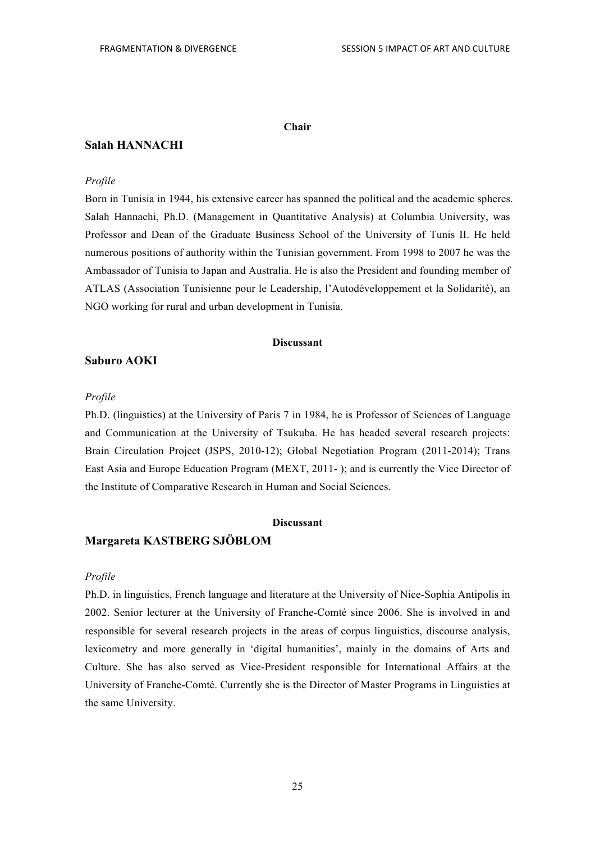#### **Chair**

#### **Salah HANNACHI**

#### *Profile*

Born in Tunisia in 1944, his extensive career has spanned the political and the academic spheres. Salah Hannachi, Ph.D. (Management in Quantitative Analysis) at Columbia University, was Professor and Dean of the Graduate Business School of the University of Tunis II. He held numerous positions of authority within the Tunisian government. From 1998 to 2007 he was the Ambassador of Tunisia to Japan and Australia. He is also the President and founding member of ATLAS (Association Tunisienne pour le Leadership, l'Autodéveloppement et la Solidarité), an NGO working for rural and urban development in Tunisia.

#### **Discussant**

#### **Saburo AOKI**

#### *Profile*

Ph.D. (linguistics) at the University of Paris 7 in 1984, he is Professor of Sciences of Language and Communication at the University of Tsukuba. He has headed several research projects: Brain Circulation Project (JSPS, 2010-12); Global Negotiation Program (2011-2014); Trans East Asia and Europe Education Program (MEXT, 2011- ); and is currently the Vice Director of the Institute of Comparative Research in Human and Social Sciences.

#### **Discussant**

### **Margareta KASTBERG SJÖBLOM**

#### *Profile*

Ph.D. in linguistics, French language and literature at the University of Nice-Sophia Antipolis in 2002. Senior lecturer at the University of Franche-Comté since 2006. She is involved in and responsible for several research projects in the areas of corpus linguistics, discourse analysis, lexicometry and more generally in 'digital humanities', mainly in the domains of Arts and Culture. She has also served as Vice-President responsible for International Affairs at the University of Franche-Comté. Currently she is the Director of Master Programs in Linguistics at the same University.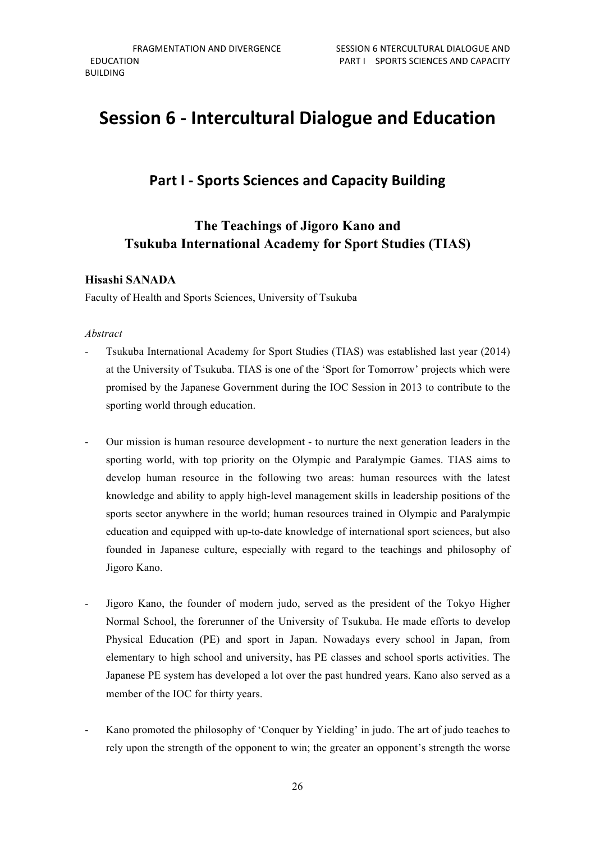## **Session 6 - Intercultural Dialogue and Education**

## **Part I - Sports Sciences and Capacity Building**

## **The Teachings of Jigoro Kano and Tsukuba International Academy for Sport Studies (TIAS)**

## **Hisashi SANADA**

Faculty of Health and Sports Sciences, University of Tsukuba

#### *Abstract*

- Tsukuba International Academy for Sport Studies (TIAS) was established last year (2014) at the University of Tsukuba. TIAS is one of the 'Sport for Tomorrow' projects which were promised by the Japanese Government during the IOC Session in 2013 to contribute to the sporting world through education.
- Our mission is human resource development to nurture the next generation leaders in the sporting world, with top priority on the Olympic and Paralympic Games. TIAS aims to develop human resource in the following two areas: human resources with the latest knowledge and ability to apply high-level management skills in leadership positions of the sports sector anywhere in the world; human resources trained in Olympic and Paralympic education and equipped with up-to-date knowledge of international sport sciences, but also founded in Japanese culture, especially with regard to the teachings and philosophy of Jigoro Kano.
- Jigoro Kano, the founder of modern judo, served as the president of the Tokyo Higher Normal School, the forerunner of the University of Tsukuba. He made efforts to develop Physical Education (PE) and sport in Japan. Nowadays every school in Japan, from elementary to high school and university, has PE classes and school sports activities. The Japanese PE system has developed a lot over the past hundred years. Kano also served as a member of the IOC for thirty years.
- Kano promoted the philosophy of 'Conquer by Yielding' in judo. The art of judo teaches to rely upon the strength of the opponent to win; the greater an opponent's strength the worse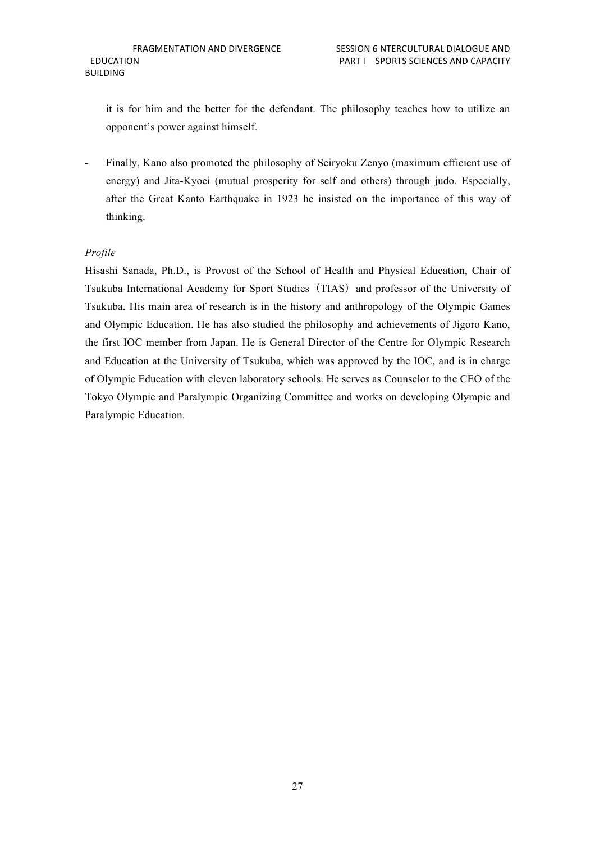it is for him and the better for the defendant. The philosophy teaches how to utilize an opponent's power against himself.

- Finally, Kano also promoted the philosophy of Seiryoku Zenyo (maximum efficient use of energy) and Jita-Kyoei (mutual prosperity for self and others) through judo. Especially, after the Great Kanto Earthquake in 1923 he insisted on the importance of this way of thinking.

#### *Profile*

Hisashi Sanada, Ph.D., is Provost of the School of Health and Physical Education, Chair of Tsukuba International Academy for Sport Studies (TIAS) and professor of the University of Tsukuba. His main area of research is in the history and anthropology of the Olympic Games and Olympic Education. He has also studied the philosophy and achievements of Jigoro Kano, the first IOC member from Japan. He is General Director of the Centre for Olympic Research and Education at the University of Tsukuba, which was approved by the IOC, and is in charge of Olympic Education with eleven laboratory schools. He serves as Counselor to the CEO of the Tokyo Olympic and Paralympic Organizing Committee and works on developing Olympic and Paralympic Education.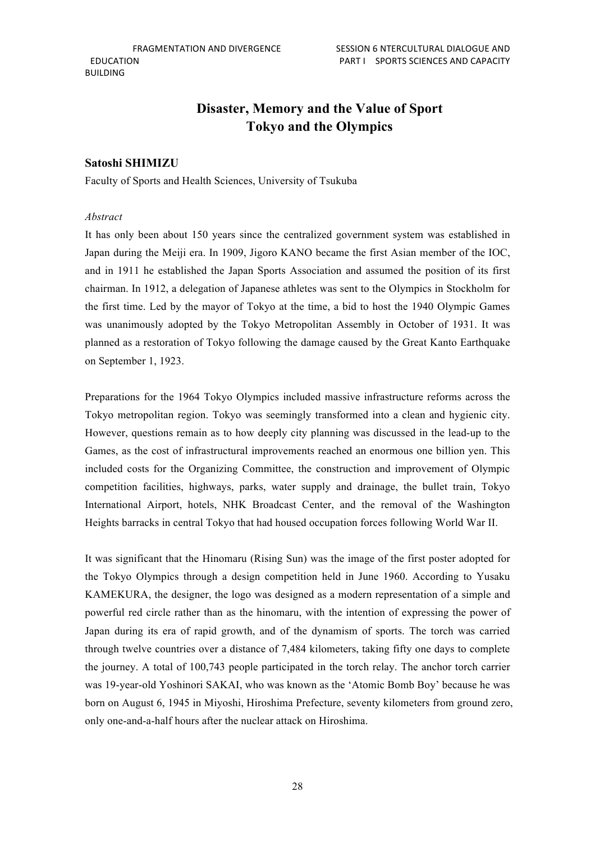## **Disaster, Memory and the Value of Sport Tokyo and the Olympics**

#### **Satoshi SHIMIZU**

Faculty of Sports and Health Sciences, University of Tsukuba

#### *Abstract*

It has only been about 150 years since the centralized government system was established in Japan during the Meiji era. In 1909, Jigoro KANO became the first Asian member of the IOC, and in 1911 he established the Japan Sports Association and assumed the position of its first chairman. In 1912, a delegation of Japanese athletes was sent to the Olympics in Stockholm for the first time. Led by the mayor of Tokyo at the time, a bid to host the 1940 Olympic Games was unanimously adopted by the Tokyo Metropolitan Assembly in October of 1931. It was planned as a restoration of Tokyo following the damage caused by the Great Kanto Earthquake on September 1, 1923.

Preparations for the 1964 Tokyo Olympics included massive infrastructure reforms across the Tokyo metropolitan region. Tokyo was seemingly transformed into a clean and hygienic city. However, questions remain as to how deeply city planning was discussed in the lead-up to the Games, as the cost of infrastructural improvements reached an enormous one billion yen. This included costs for the Organizing Committee, the construction and improvement of Olympic competition facilities, highways, parks, water supply and drainage, the bullet train, Tokyo International Airport, hotels, NHK Broadcast Center, and the removal of the Washington Heights barracks in central Tokyo that had housed occupation forces following World War II.

It was significant that the Hinomaru (Rising Sun) was the image of the first poster adopted for the Tokyo Olympics through a design competition held in June 1960. According to Yusaku KAMEKURA, the designer, the logo was designed as a modern representation of a simple and powerful red circle rather than as the hinomaru, with the intention of expressing the power of Japan during its era of rapid growth, and of the dynamism of sports. The torch was carried through twelve countries over a distance of 7,484 kilometers, taking fifty one days to complete the journey. A total of 100,743 people participated in the torch relay. The anchor torch carrier was 19-year-old Yoshinori SAKAI, who was known as the 'Atomic Bomb Boy' because he was born on August 6, 1945 in Miyoshi, Hiroshima Prefecture, seventy kilometers from ground zero, only one-and-a-half hours after the nuclear attack on Hiroshima.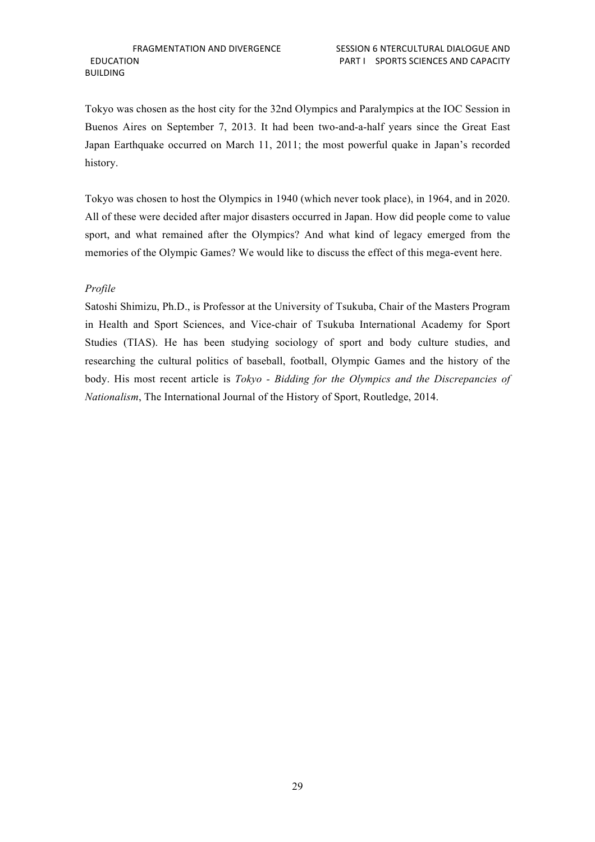Tokyo was chosen as the host city for the 32nd Olympics and Paralympics at the IOC Session in Buenos Aires on September 7, 2013. It had been two-and-a-half years since the Great East Japan Earthquake occurred on March 11, 2011; the most powerful quake in Japan's recorded history.

Tokyo was chosen to host the Olympics in 1940 (which never took place), in 1964, and in 2020. All of these were decided after major disasters occurred in Japan. How did people come to value sport, and what remained after the Olympics? And what kind of legacy emerged from the memories of the Olympic Games? We would like to discuss the effect of this mega-event here.

#### *Profile*

Satoshi Shimizu, Ph.D., is Professor at the University of Tsukuba, Chair of the Masters Program in Health and Sport Sciences, and Vice-chair of Tsukuba International Academy for Sport Studies (TIAS). He has been studying sociology of sport and body culture studies, and researching the cultural politics of baseball, football, Olympic Games and the history of the body. His most recent article is *Tokyo - Bidding for the Olympics and the Discrepancies of Nationalism*, The International Journal of the History of Sport, Routledge, 2014.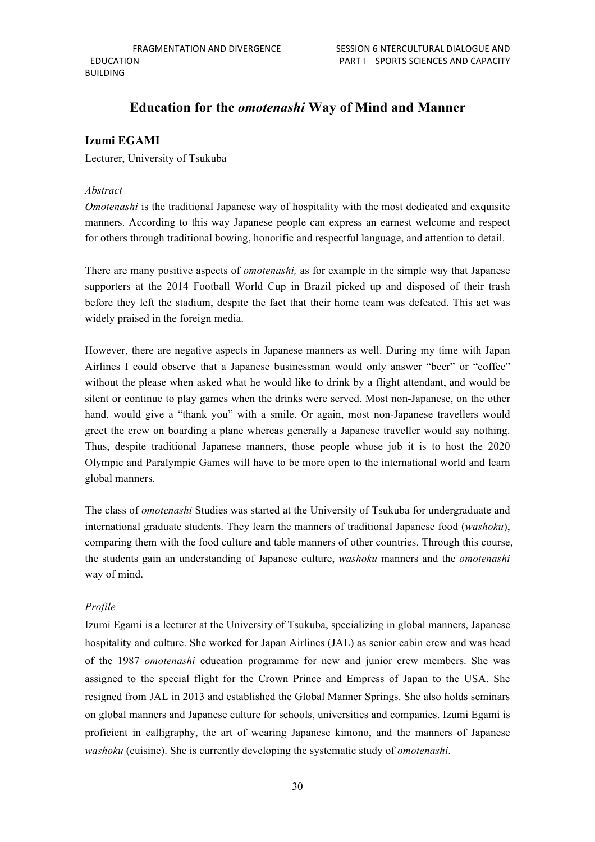## **Education for the** *omotenashi* **Way of Mind and Manner**

### **Izumi EGAMI**

Lecturer, University of Tsukuba

#### *Abstract*

*Omotenashi* is the traditional Japanese way of hospitality with the most dedicated and exquisite manners. According to this way Japanese people can express an earnest welcome and respect for others through traditional bowing, honorific and respectful language, and attention to detail.

There are many positive aspects of *omotenashi,* as for example in the simple way that Japanese supporters at the 2014 Football World Cup in Brazil picked up and disposed of their trash before they left the stadium, despite the fact that their home team was defeated. This act was widely praised in the foreign media.

However, there are negative aspects in Japanese manners as well. During my time with Japan Airlines I could observe that a Japanese businessman would only answer "beer" or "coffee" without the please when asked what he would like to drink by a flight attendant, and would be silent or continue to play games when the drinks were served. Most non-Japanese, on the other hand, would give a "thank you" with a smile. Or again, most non-Japanese travellers would greet the crew on boarding a plane whereas generally a Japanese traveller would say nothing. Thus, despite traditional Japanese manners, those people whose job it is to host the 2020 Olympic and Paralympic Games will have to be more open to the international world and learn global manners.

The class of *omotenashi* Studies was started at the University of Tsukuba for undergraduate and international graduate students. They learn the manners of traditional Japanese food (*washoku*), comparing them with the food culture and table manners of other countries. Through this course, the students gain an understanding of Japanese culture, *washoku* manners and the *omotenashi* way of mind.

#### *Profile*

Izumi Egami is a lecturer at the University of Tsukuba, specializing in global manners, Japanese hospitality and culture. She worked for Japan Airlines (JAL) as senior cabin crew and was head of the 1987 *omotenashi* education programme for new and junior crew members. She was assigned to the special flight for the Crown Prince and Empress of Japan to the USA. She resigned from JAL in 2013 and established the Global Manner Springs. She also holds seminars on global manners and Japanese culture for schools, universities and companies. Izumi Egami is proficient in calligraphy, the art of wearing Japanese kimono, and the manners of Japanese *washoku* (cuisine). She is currently developing the systematic study of *omotenashi*.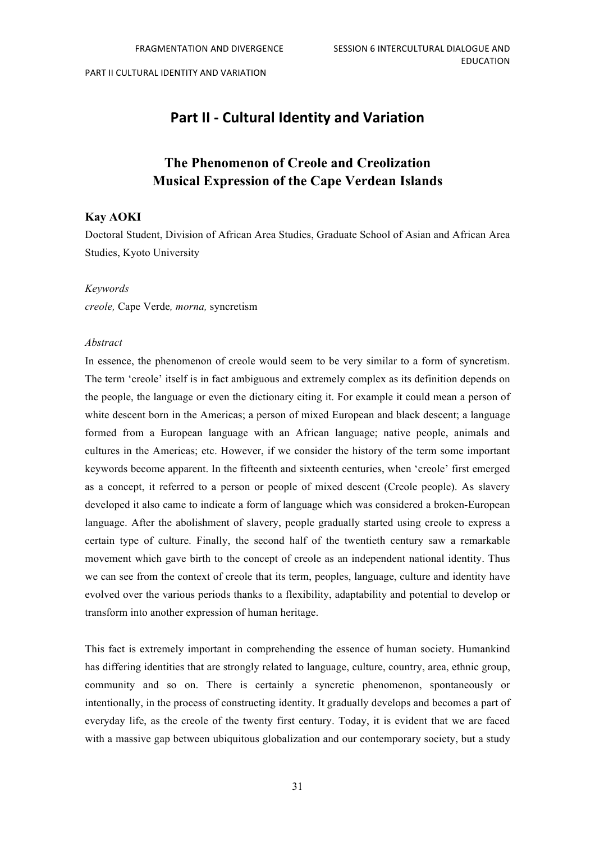## **Part II - Cultural Identity and Variation**

## **The Phenomenon of Creole and Creolization Musical Expression of the Cape Verdean Islands**

#### **Kay AOKI**

Doctoral Student, Division of African Area Studies, Graduate School of Asian and African Area Studies, Kyoto University

#### *Keywords*

*creole,* Cape Verde*, morna,* syncretism

#### *Abstract*

In essence, the phenomenon of creole would seem to be very similar to a form of syncretism. The term 'creole' itself is in fact ambiguous and extremely complex as its definition depends on the people, the language or even the dictionary citing it. For example it could mean a person of white descent born in the Americas; a person of mixed European and black descent; a language formed from a European language with an African language; native people, animals and cultures in the Americas; etc. However, if we consider the history of the term some important keywords become apparent. In the fifteenth and sixteenth centuries, when 'creole' first emerged as a concept, it referred to a person or people of mixed descent (Creole people). As slavery developed it also came to indicate a form of language which was considered a broken-European language. After the abolishment of slavery, people gradually started using creole to express a certain type of culture. Finally, the second half of the twentieth century saw a remarkable movement which gave birth to the concept of creole as an independent national identity. Thus we can see from the context of creole that its term, peoples, language, culture and identity have evolved over the various periods thanks to a flexibility, adaptability and potential to develop or transform into another expression of human heritage.

This fact is extremely important in comprehending the essence of human society. Humankind has differing identities that are strongly related to language, culture, country, area, ethnic group, community and so on. There is certainly a syncretic phenomenon, spontaneously or intentionally, in the process of constructing identity. It gradually develops and becomes a part of everyday life, as the creole of the twenty first century. Today, it is evident that we are faced with a massive gap between ubiquitous globalization and our contemporary society, but a study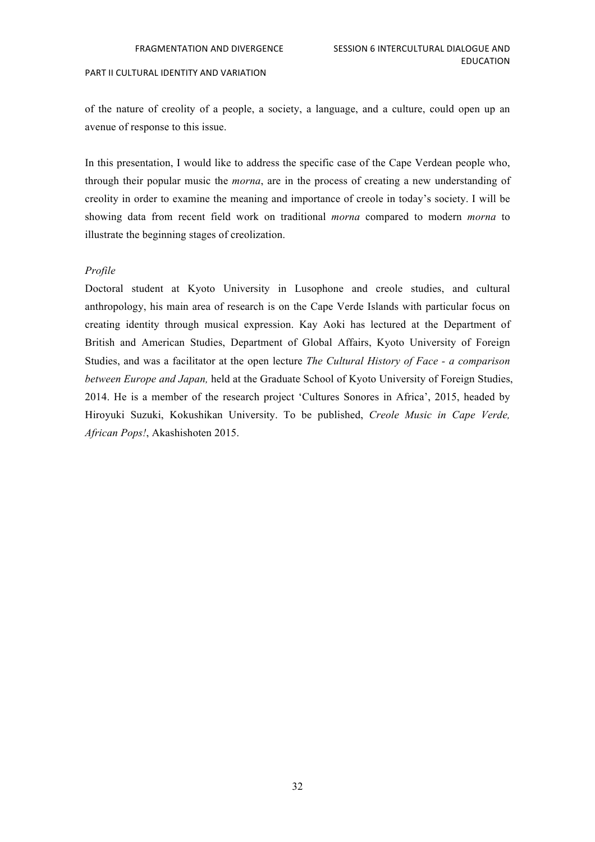of the nature of creolity of a people, a society, a language, and a culture, could open up an avenue of response to this issue.

In this presentation, I would like to address the specific case of the Cape Verdean people who, through their popular music the *morna*, are in the process of creating a new understanding of creolity in order to examine the meaning and importance of creole in today's society. I will be showing data from recent field work on traditional *morna* compared to modern *morna* to illustrate the beginning stages of creolization.

#### *Profile*

Doctoral student at Kyoto University in Lusophone and creole studies, and cultural anthropology, his main area of research is on the Cape Verde Islands with particular focus on creating identity through musical expression. Kay Aoki has lectured at the Department of British and American Studies, Department of Global Affairs, Kyoto University of Foreign Studies, and was a facilitator at the open lecture *The Cultural History of Face - a comparison between Europe and Japan,* held at the Graduate School of Kyoto University of Foreign Studies, 2014. He is a member of the research project 'Cultures Sonores in Africa', 2015, headed by Hiroyuki Suzuki, Kokushikan University. To be published, *Creole Music in Cape Verde, African Pops!*, Akashishoten 2015.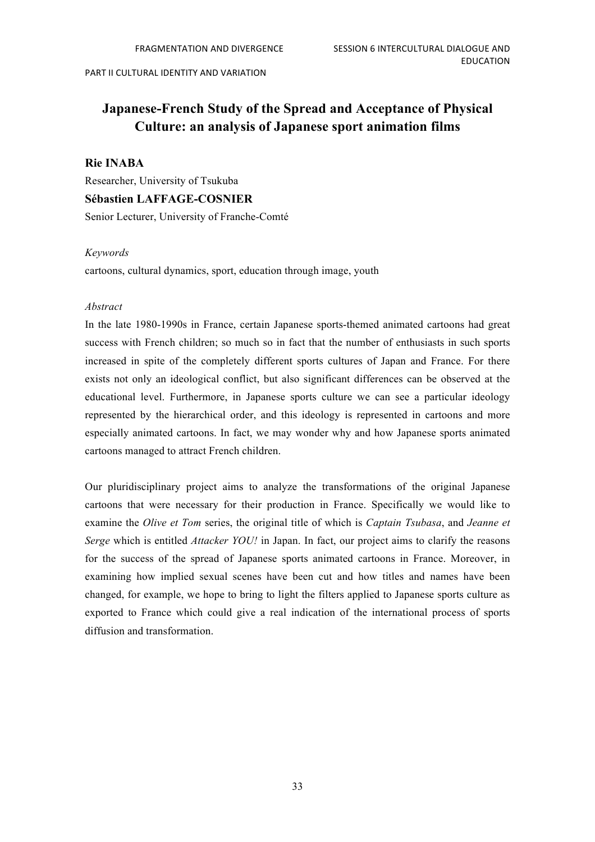## **Japanese-French Study of the Spread and Acceptance of Physical Culture: an analysis of Japanese sport animation films**

#### **Rie INABA**

Researcher, University of Tsukuba **Sébastien LAFFAGE-COSNIER** Senior Lecturer, University of Franche-Comté

#### *Keywords*

cartoons, cultural dynamics, sport, education through image, youth

#### *Abstract*

In the late 1980-1990s in France, certain Japanese sports-themed animated cartoons had great success with French children; so much so in fact that the number of enthusiasts in such sports increased in spite of the completely different sports cultures of Japan and France. For there exists not only an ideological conflict, but also significant differences can be observed at the educational level. Furthermore, in Japanese sports culture we can see a particular ideology represented by the hierarchical order, and this ideology is represented in cartoons and more especially animated cartoons. In fact, we may wonder why and how Japanese sports animated cartoons managed to attract French children.

Our pluridisciplinary project aims to analyze the transformations of the original Japanese cartoons that were necessary for their production in France. Specifically we would like to examine the *Olive et Tom* series, the original title of which is *Captain Tsubasa*, and *Jeanne et Serge* which is entitled *Attacker YOU!* in Japan. In fact, our project aims to clarify the reasons for the success of the spread of Japanese sports animated cartoons in France. Moreover, in examining how implied sexual scenes have been cut and how titles and names have been changed, for example, we hope to bring to light the filters applied to Japanese sports culture as exported to France which could give a real indication of the international process of sports diffusion and transformation.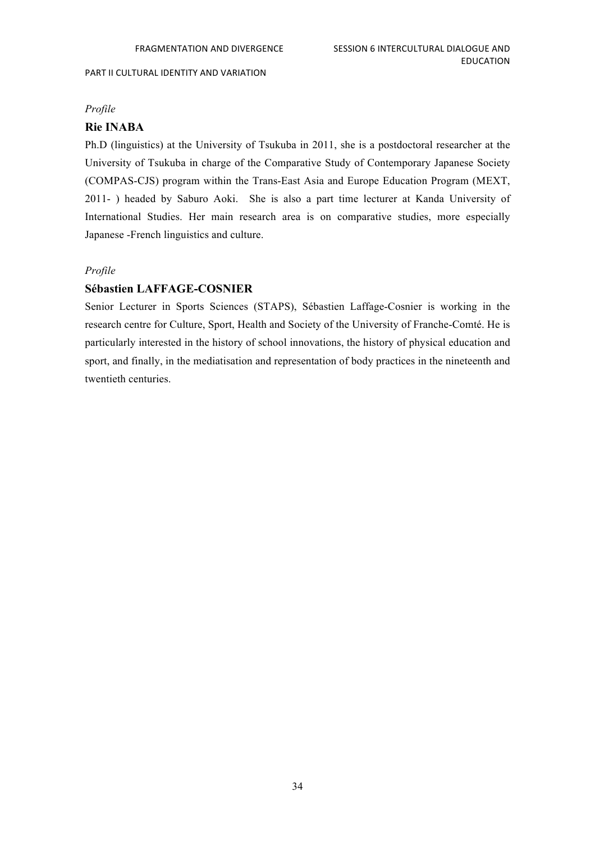#### *Profile*

#### **Rie INABA**

Ph.D (linguistics) at the University of Tsukuba in 2011, she is a postdoctoral researcher at the University of Tsukuba in charge of the Comparative Study of Contemporary Japanese Society (COMPAS-CJS) program within the Trans-East Asia and Europe Education Program (MEXT, 2011- ) headed by Saburo Aoki. She is also a part time lecturer at Kanda University of International Studies. Her main research area is on comparative studies, more especially Japanese -French linguistics and culture.

#### *Profile*

#### **Sébastien LAFFAGE-COSNIER**

Senior Lecturer in Sports Sciences (STAPS), Sébastien Laffage-Cosnier is working in the research centre for Culture, Sport, Health and Society of the University of Franche-Comté. He is particularly interested in the history of school innovations, the history of physical education and sport, and finally, in the mediatisation and representation of body practices in the nineteenth and twentieth centuries.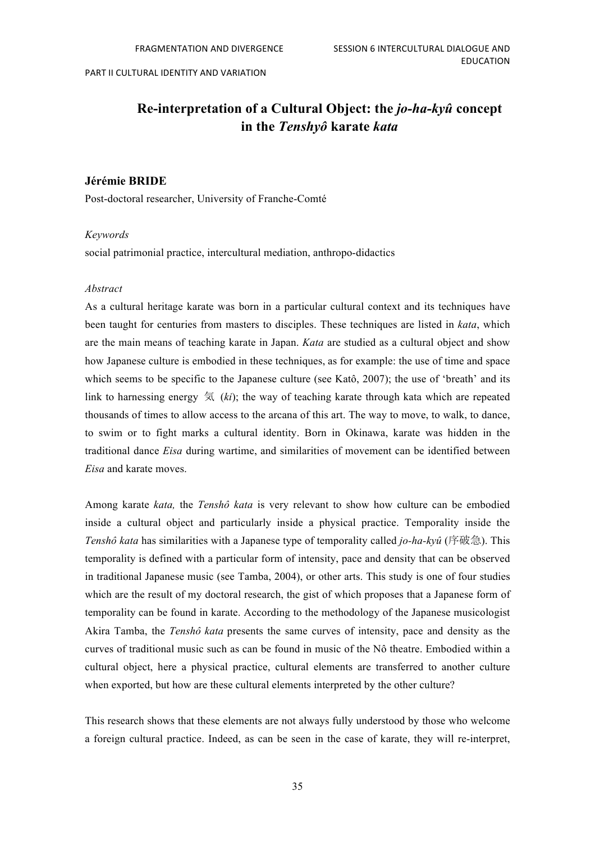## **Re-interpretation of a Cultural Object: the** *jo-ha-kyû* **concept in the** *Tenshyô* **karate** *kata*

#### **Jérémie BRIDE**

Post-doctoral researcher, University of Franche-Comté

#### *Keywords*

social patrimonial practice, intercultural mediation, anthropo-didactics

#### *Abstract*

As a cultural heritage karate was born in a particular cultural context and its techniques have been taught for centuries from masters to disciples. These techniques are listed in *kata*, which are the main means of teaching karate in Japan. *Kata* are studied as a cultural object and show how Japanese culture is embodied in these techniques, as for example: the use of time and space which seems to be specific to the Japanese culture (see Katô, 2007); the use of 'breath' and its link to harnessing energy  $\leq \frac{k}{l}$  (*ki*); the way of teaching karate through kata which are repeated thousands of times to allow access to the arcana of this art. The way to move, to walk, to dance, to swim or to fight marks a cultural identity. Born in Okinawa, karate was hidden in the traditional dance *Eisa* during wartime, and similarities of movement can be identified between *Eisa* and karate moves.

Among karate *kata,* the *Tenshô kata* is very relevant to show how culture can be embodied inside a cultural object and particularly inside a physical practice. Temporality inside the *Tenshô kata* has similarities with a Japanese type of temporality called *jo-ha-kyû* (序破急). This temporality is defined with a particular form of intensity, pace and density that can be observed in traditional Japanese music (see Tamba, 2004), or other arts. This study is one of four studies which are the result of my doctoral research, the gist of which proposes that a Japanese form of temporality can be found in karate. According to the methodology of the Japanese musicologist Akira Tamba, the *Tenshô kata* presents the same curves of intensity, pace and density as the curves of traditional music such as can be found in music of the Nô theatre. Embodied within a cultural object, here a physical practice, cultural elements are transferred to another culture when exported, but how are these cultural elements interpreted by the other culture?

This research shows that these elements are not always fully understood by those who welcome a foreign cultural practice. Indeed, as can be seen in the case of karate, they will re-interpret,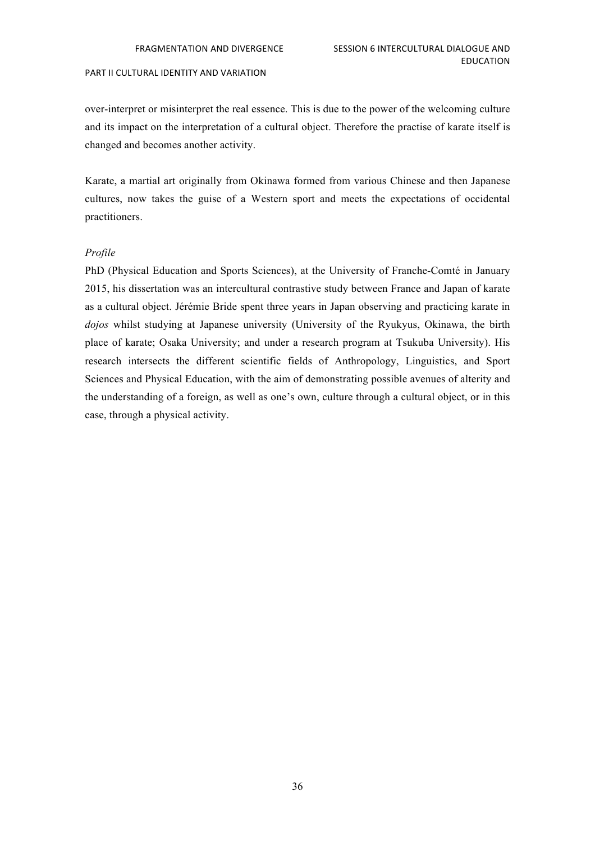over-interpret or misinterpret the real essence. This is due to the power of the welcoming culture and its impact on the interpretation of a cultural object. Therefore the practise of karate itself is changed and becomes another activity.

Karate, a martial art originally from Okinawa formed from various Chinese and then Japanese cultures, now takes the guise of a Western sport and meets the expectations of occidental practitioners.

#### *Profile*

PhD (Physical Education and Sports Sciences), at the University of Franche-Comté in January 2015, his dissertation was an intercultural contrastive study between France and Japan of karate as a cultural object. Jérémie Bride spent three years in Japan observing and practicing karate in *dojos* whilst studying at Japanese university (University of the Ryukyus, Okinawa, the birth place of karate; Osaka University; and under a research program at Tsukuba University). His research intersects the different scientific fields of Anthropology, Linguistics, and Sport Sciences and Physical Education, with the aim of demonstrating possible avenues of alterity and the understanding of a foreign, as well as one's own, culture through a cultural object, or in this case, through a physical activity.